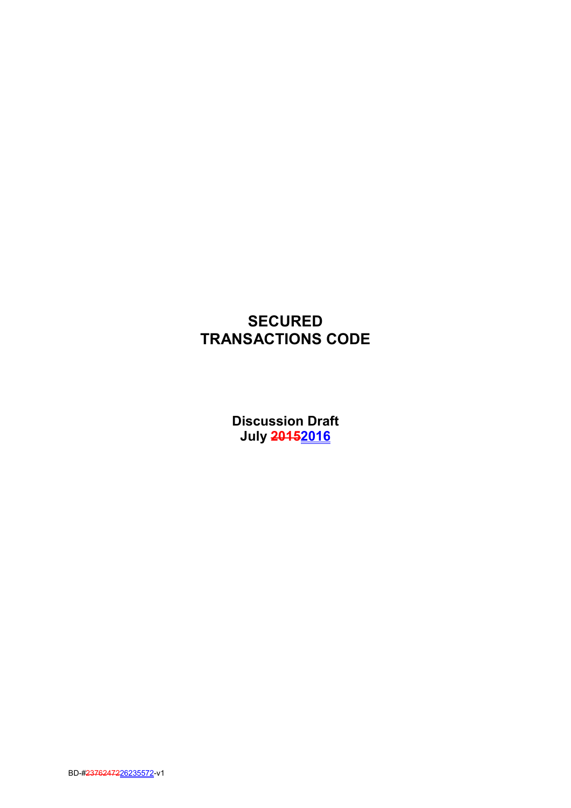# **SECURED TRANSACTIONS CODE**

**Discussion Draft July 20152016**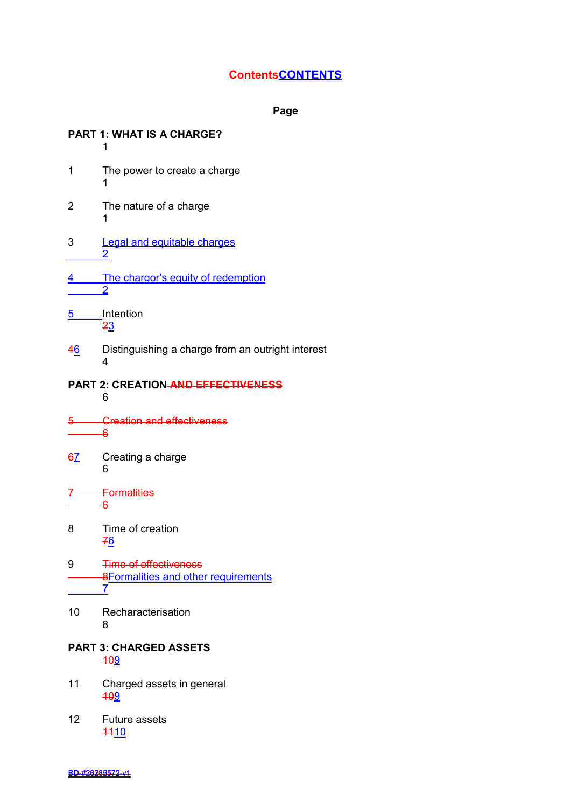# **ContentsCONTENTS**

```
Page
```
#### **PART 1: WHAT IS A CHARGE?**

- 
- The power to create a charge
- The nature of a charge
- Legal and equitable charges
- The chargor's equity of redemption  $\overline{2}$
- Intention
- 46 Distinguishing a charge from an outright interest
- **PART 2: CREATION AND EFFECTIVENESS**
- Creation and effectiveness  $-\epsilon$
- 67 Creating a charge
- Formalities  $\overline{a}$
- Time of creation
- Time of effectiveness **8Formalities and other requirements**
- Recharacterisation
- **PART 3: CHARGED ASSETS**
- Charged assets in general
- Future assets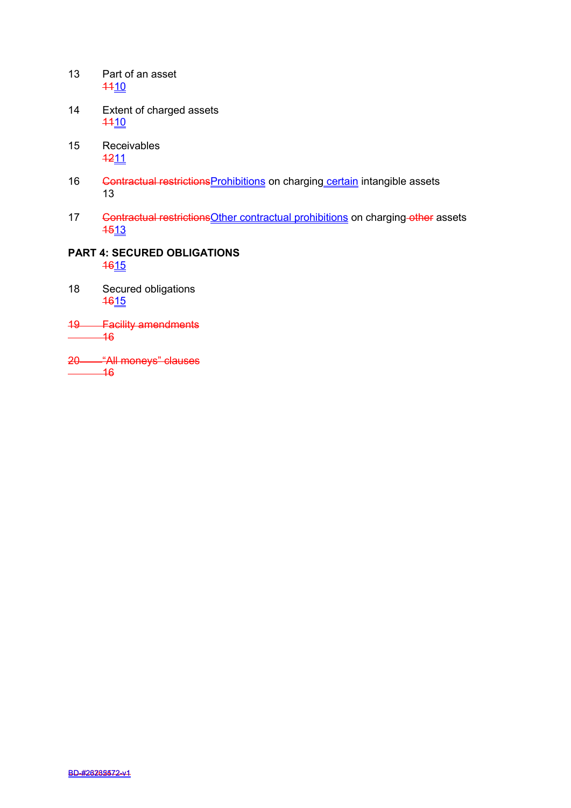- Part of an asset
- Extent of charged assets
- Receivables
- 16 Contractual restrictions Prohibitions on charging certain intangible assets
- 17 Contractual restrictions Other contractual prohibitions on charging-other assets
- **PART 4: SECURED OBLIGATIONS**
- Secured obligations
- Facility amendments  $-16$
- "All moneys" clauses  $\frac{26}{16}$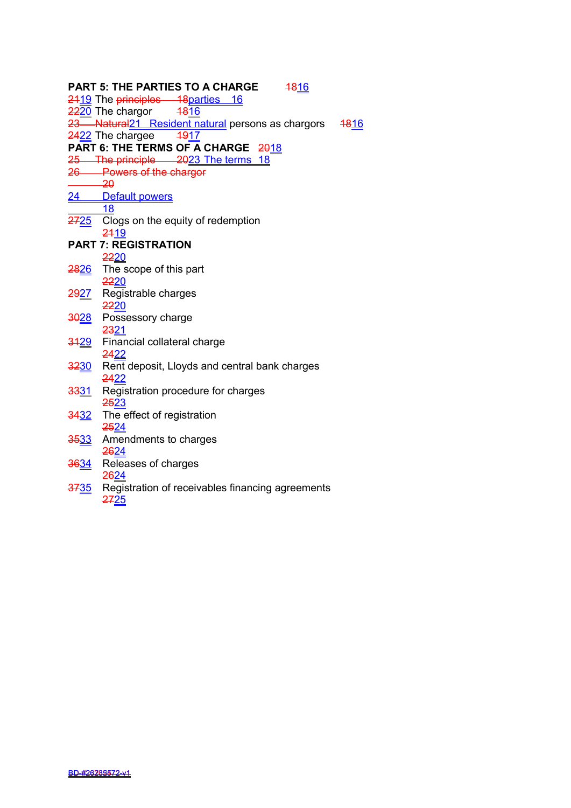| <b>PART 5: THE PARTIES TO A CHARGE</b><br><b>4816</b> |                                                               |                 |  |  |
|-------------------------------------------------------|---------------------------------------------------------------|-----------------|--|--|
|                                                       | 2419 The principles 48 parties 16                             |                 |  |  |
|                                                       | 2220 The chargor<br>4816                                      |                 |  |  |
|                                                       | 23 Natural <sup>21</sup> Resident natural persons as chargors | <del>1816</del> |  |  |
|                                                       | 2422 The chargee 4917                                         |                 |  |  |
| PART 6: THE TERMS OF A CHARGE 2018                    |                                                               |                 |  |  |
|                                                       | 25 The principle 2023 The terms 18                            |                 |  |  |
|                                                       | 26 Powers of the chargor                                      |                 |  |  |
|                                                       | $\frac{20}{2}$                                                |                 |  |  |
|                                                       | 24 Default powers                                             |                 |  |  |
|                                                       | - 18                                                          |                 |  |  |
|                                                       | 2725 Clogs on the equity of redemption                        |                 |  |  |
|                                                       | 2419                                                          |                 |  |  |
|                                                       | <b>PART 7: REGISTRATION</b>                                   |                 |  |  |
|                                                       | 2220                                                          |                 |  |  |
|                                                       | 2826 The scope of this part                                   |                 |  |  |
|                                                       | 2220                                                          |                 |  |  |
|                                                       | 2927 Registrable charges                                      |                 |  |  |
|                                                       | 2220                                                          |                 |  |  |
|                                                       | 3028 Possessory charge                                        |                 |  |  |
|                                                       | 2321                                                          |                 |  |  |
|                                                       | 3129 Financial collateral charge                              |                 |  |  |
|                                                       | 2422                                                          |                 |  |  |
|                                                       | 3230 Rent deposit, Lloyds and central bank charges            |                 |  |  |
|                                                       | 2422                                                          |                 |  |  |
|                                                       | 3331 Registration procedure for charges                       |                 |  |  |
|                                                       | 2523                                                          |                 |  |  |
|                                                       | 3432 The effect of registration                               |                 |  |  |
|                                                       | 2524                                                          |                 |  |  |
| <u>3533</u>                                           | Amendments to charges<br>2624                                 |                 |  |  |
|                                                       | Releases of charges                                           |                 |  |  |
| 36 <u>34</u>                                          | <u>2624</u>                                                   |                 |  |  |
|                                                       | 3735 Registration of receivables financing agreements         |                 |  |  |
|                                                       | 2725                                                          |                 |  |  |
|                                                       |                                                               |                 |  |  |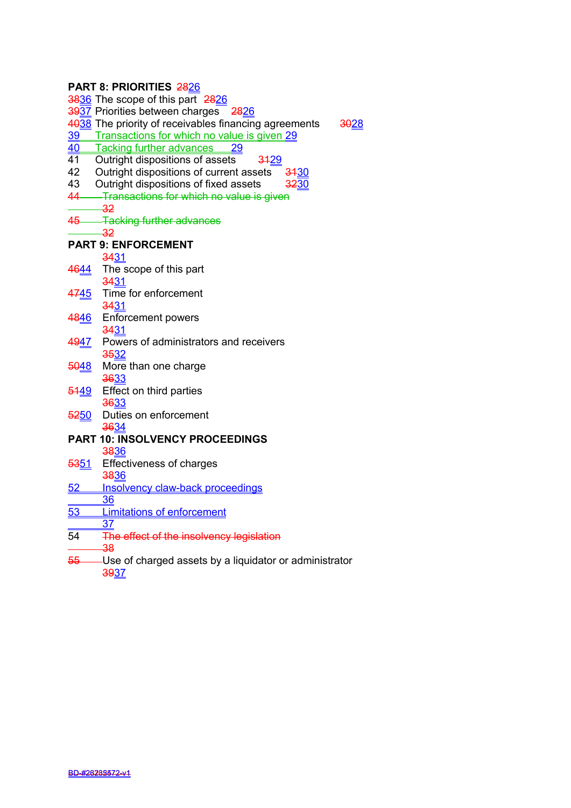#### **PART 8: PRIORITIES** 2826

3836 The scope of this part 2826 3937 Priorities between charges 2826 4038 The priority of receivables financing agreements 3028 39 Transactions for which no value is given 29 40 Tacking further advances 29 41 Outright dispositions of assets 3429 42 Outright dispositions of current assets 3430 43 Outright dispositions of fixed assets 3230 44 Transactions for which no value is given 32 45 Tacking further advances 32 **PART 9: ENFORCEMENT** 3431 4644 The scope of this part 3431 4745 Time for enforcement 3431 4846 Enforcement powers 3431 4947 Powers of administrators and receivers 3532 5048 More than one charge 3633 5149 Effect on third parties 3633 5250 Duties on enforcement 3634 **PART 10: INSOLVENCY PROCEEDINGS** 3836 5351 Effectiveness of charges 3836 52 Insolvency claw-back proceedings 36 53 Limitations of enforcement 37 54 The effect of the insolvency legislation 38 55 Use of charged assets by a liquidator or administrator 3937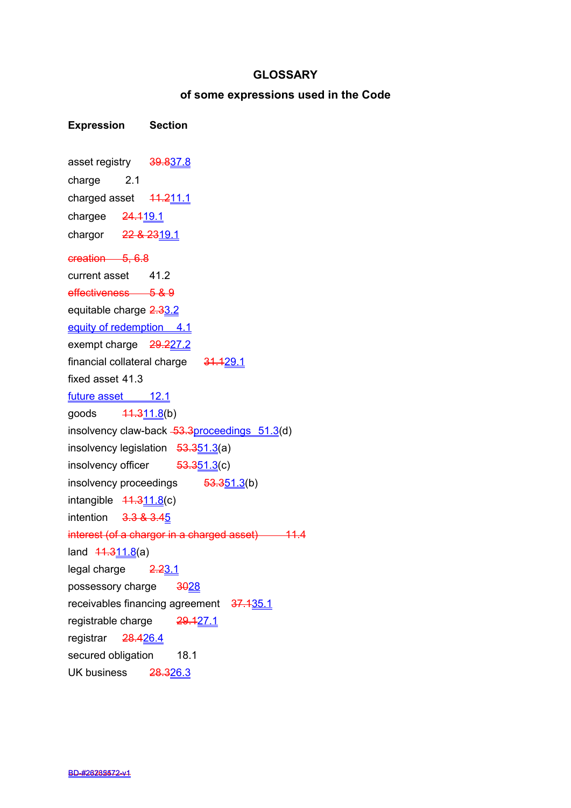#### **GLOSSARY**

#### **of some expressions used in the Code**

**Expression Section** asset registry 39.837.8 charge 2.1 charged asset  $11.211.1$ chargee 24.119.1 chargor 22 & 2319.1 creation 5, 6.8 current asset 41.2 effectiveness 5 & 9 equitable charge 2.33.2 equity of redemption 4.1 exempt charge 29.227.2 financial collateral charge 31.129.1 fixed asset 41.3 future asset 12.1 goods 11.311.8(b) insolvency claw-back -53.3proceedings 51.3(d) insolvency legislation  $\frac{53.351.3}{a}$ insolvency officer  $\frac{53.351.3}{c}$ insolvency proceedings  $53.351.3(b)$ intangible  $44.311.8(c)$ intention  $3.3883.45$ interest (of a chargor in a charged asset) 11.4 land  $44.311.8(a)$ legal charge 2.23.1 possessory charge 3028 receivables financing agreement 37.135.1 registrable charge 29.127.1 registrar 28.426.4 secured obligation 18.1 UK business 28.326.3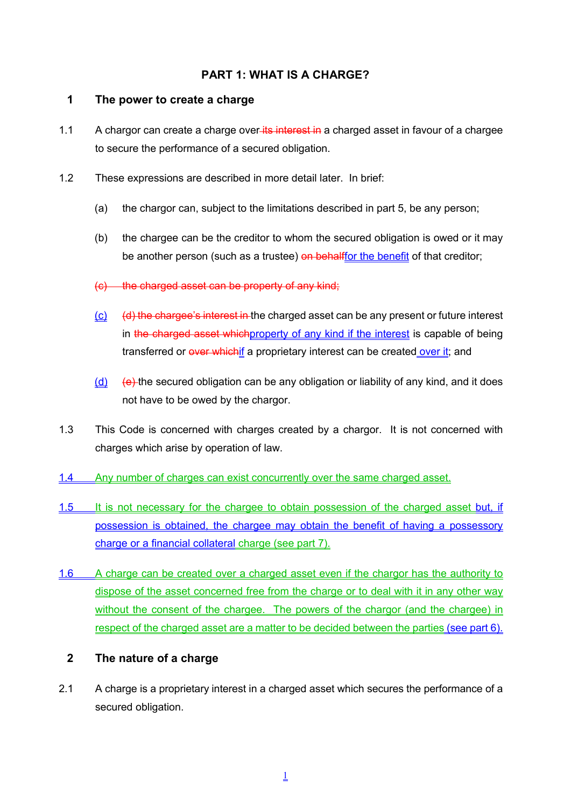# **PART 1: WHAT IS A CHARGE?**

#### **1 The power to create a charge**

- 1.1 A chargor can create a charge over its interest in a charged asset in favour of a chargee to secure the performance of a secured obligation.
- 1.2 These expressions are described in more detail later. In brief:
	- (a) the chargor can, subject to the limitations described in part 5, be any person;
	- (b) the chargee can be the creditor to whom the secured obligation is owed or it may be another person (such as a trustee) on behalffor the benefit of that creditor;
	- (c) the charged asset can be property of any kind;
	- $\overline{c}$  (c)  $\overline{d}$  the chargee's interest in the charged asset can be any present or future interest in the charged asset whichproperty of any kind if the interest is capable of being transferred or over whichif a proprietary interest can be created over it; and
	- $(d)$  (e) the secured obligation can be any obligation or liability of any kind, and it does not have to be owed by the chargor.
- 1.3 This Code is concerned with charges created by a chargor. It is not concerned with charges which arise by operation of law.
- 1.4 Any number of charges can exist concurrently over the same charged asset.
- 1.5 It is not necessary for the chargee to obtain possession of the charged asset but, if possession is obtained, the chargee may obtain the benefit of having a possessory charge or a financial collateral charge (see part 7).
- 1.6 A charge can be created over a charged asset even if the chargor has the authority to dispose of the asset concerned free from the charge or to deal with it in any other way without the consent of the chargee. The powers of the chargor (and the chargee) in respect of the charged asset are a matter to be decided between the parties (see part 6).

# **2 The nature of a charge**

2.1 A charge is a proprietary interest in a charged asset which secures the performance of a secured obligation.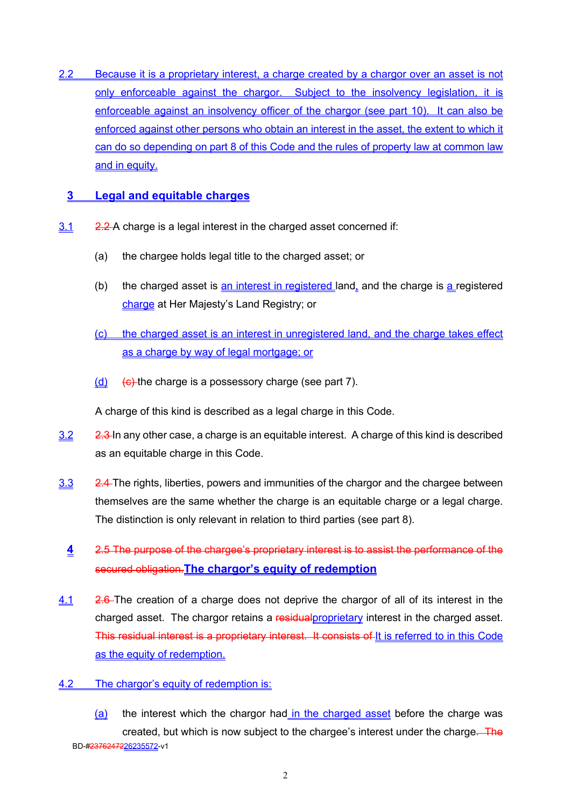2.2 Because it is a proprietary interest, a charge created by a chargor over an asset is not only enforceable against the chargor. Subject to the insolvency legislation, it is enforceable against an insolvency officer of the chargor (see part 10). It can also be enforced against other persons who obtain an interest in the asset, the extent to which it can do so depending on part 8 of this Code and the rules of property law at common law and in equity.

# **3 Legal and equitable charges**

- $3.1$   $2.2$  A charge is a legal interest in the charged asset concerned if:
	- (a) the chargee holds legal title to the charged asset; or
	- (b) the charged asset is an interest in registered land, and the charge is a registered charge at Her Majesty's Land Registry; or
	- (c) the charged asset is an interest in unregistered land, and the charge takes effect as a charge by way of legal mortgage; or
	- $(d)$  (c) the charge is a possessory charge (see part 7).

A charge of this kind is described as a legal charge in this Code.

- $3.2$   $2.3$  In any other case, a charge is an equitable interest. A charge of this kind is described as an equitable charge in this Code.
- 3.3 2.4 The rights, liberties, powers and immunities of the chargor and the chargee between themselves are the same whether the charge is an equitable charge or a legal charge. The distinction is only relevant in relation to third parties (see part 8).
- **4** 2.5 The purpose of the chargee's proprietary interest is to assist the performance of the secured obligation.**The chargor's equity of redemption**
- 4.1 2.6 The creation of a charge does not deprive the chargor of all of its interest in the charged asset. The chargor retains a residual proprietary interest in the charged asset. This residual interest is a proprietary interest. It consists of It is referred to in this Code as the equity of redemption.
- 4.2 The chargor's equity of redemption is:
	- BD-#2376247226235572-v1 (a) the interest which the chargor had in the charged asset before the charge was created, but which is now subject to the chargee's interest under the charge. The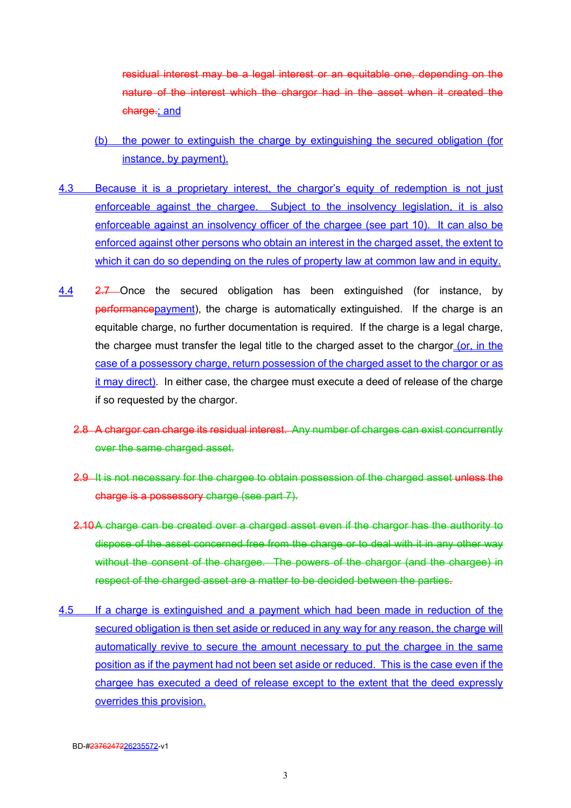residual interest may be a legal interest or an equitable one, depending on the nature of the interest which the chargor had in the asset when it created the charge.; and

- (b) the power to extinguish the charge by extinguishing the secured obligation (for instance, by payment).
- 4.3 Because it is a proprietary interest, the chargor's equity of redemption is not just enforceable against the chargee. Subject to the insolvency legislation, it is also enforceable against an insolvency officer of the chargee (see part 10). It can also be enforced against other persons who obtain an interest in the charged asset, the extent to which it can do so depending on the rules of property law at common law and in equity.
- 4.4 2.7 Once the secured obligation has been extinguished (for instance, by performancepayment), the charge is automatically extinguished. If the charge is an equitable charge, no further documentation is required. If the charge is a legal charge, the chargee must transfer the legal title to the charged asset to the chargor (or, in the case of a possessory charge, return possession of the charged asset to the chargor or as it may direct). In either case, the chargee must execute a deed of release of the charge if so requested by the chargor.
	- 2.8 A chargor can charge its residual interest. Any number of charges can exist concurrently over the same charged asset.
	- 2.9 It is not necessary for the chargee to obtain possession of the charged asset unless the charge is a possessory charge (see part 7).
	- 2.10A charge can be created over a charged asset even if the chargor has the authority to dispose of the asset concerned free from the charge or to deal with it in any other way without the consent of the chargee. The powers of the chargor (and the chargee) in respect of the charged asset are a matter to be decided between the parties.
- 4.5 If a charge is extinguished and a payment which had been made in reduction of the secured obligation is then set aside or reduced in any way for any reason, the charge will automatically revive to secure the amount necessary to put the chargee in the same position as if the payment had not been set aside or reduced. This is the case even if the chargee has executed a deed of release except to the extent that the deed expressly overrides this provision.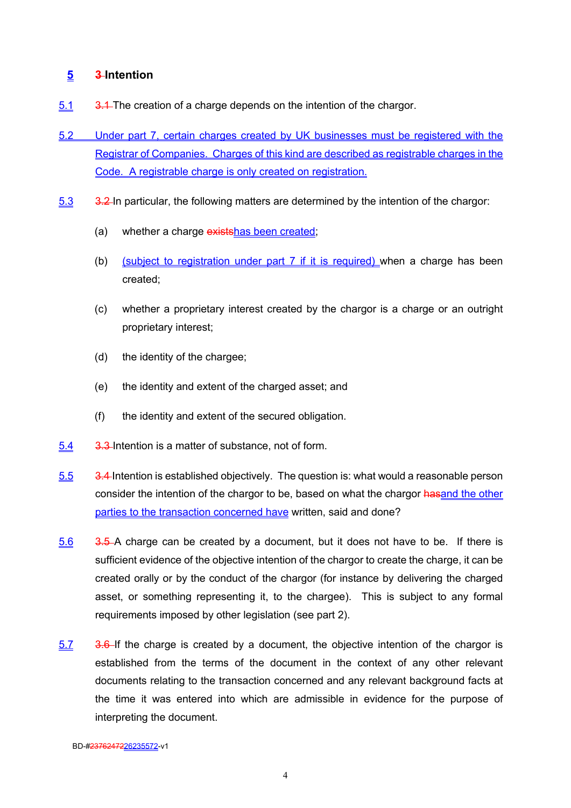# **5 3 Intention**

- 5.1 3.1 The creation of a charge depends on the intention of the chargor.
- 5.2 Under part 7, certain charges created by UK businesses must be registered with the Registrar of Companies. Charges of this kind are described as registrable charges in the Code. A registrable charge is only created on registration.
- 5.3 3.2 In particular, the following matters are determined by the intention of the chargor:
	- (a) whether a charge existshas been created;
	- (b) (subject to registration under part 7 if it is required) when a charge has been created;
	- (c) whether a proprietary interest created by the chargor is a charge or an outright proprietary interest;
	- (d) the identity of the chargee;
	- (e) the identity and extent of the charged asset; and
	- (f) the identity and extent of the secured obligation.
- 5.4 3.3 Intention is a matter of substance, not of form.
- $\overline{5.5}$  3.4 Intention is established objectively. The question is: what would a reasonable person consider the intention of the chargor to be, based on what the chargor has and the other parties to the transaction concerned have written, said and done?
- 5.6 3.5 A charge can be created by a document, but it does not have to be. If there is sufficient evidence of the objective intention of the chargor to create the charge, it can be created orally or by the conduct of the chargor (for instance by delivering the charged asset, or something representing it, to the chargee). This is subject to any formal requirements imposed by other legislation (see part 2).
- $\overline{5.7}$  3.6 If the charge is created by a document, the objective intention of the chargor is established from the terms of the document in the context of any other relevant documents relating to the transaction concerned and any relevant background facts at the time it was entered into which are admissible in evidence for the purpose of interpreting the document.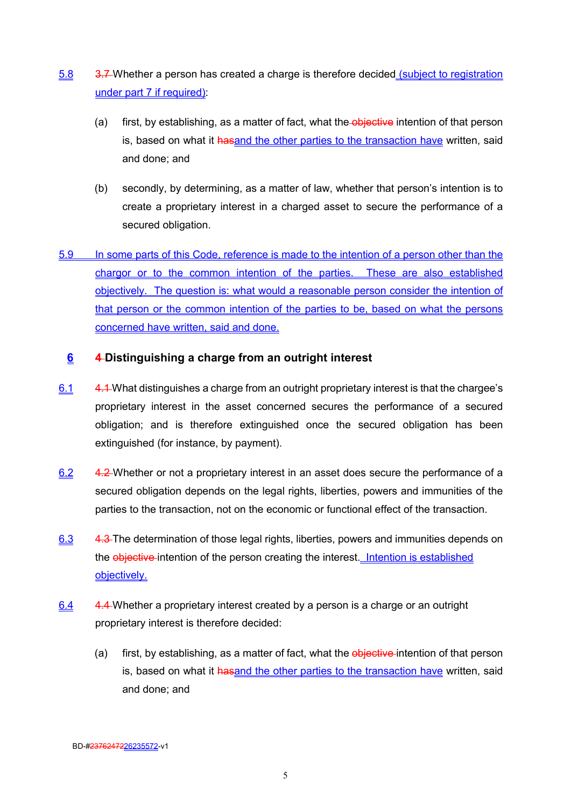- 5.8 3.7 Whether a person has created a charge is therefore decided (subject to registration under part 7 if required):
	- (a) first, by establishing, as a matter of fact, what the objective intention of that person is, based on what it has and the other parties to the transaction have written, said and done; and
	- (b) secondly, by determining, as a matter of law, whether that person's intention is to create a proprietary interest in a charged asset to secure the performance of a secured obligation.
- 5.9 In some parts of this Code, reference is made to the intention of a person other than the chargor or to the common intention of the parties. These are also established objectively. The question is: what would a reasonable person consider the intention of that person or the common intention of the parties to be, based on what the persons concerned have written, said and done.

# **6 4 Distinguishing a charge from an outright interest**

- 6.1 4.1 What distinguishes a charge from an outright proprietary interest is that the chargee's proprietary interest in the asset concerned secures the performance of a secured obligation; and is therefore extinguished once the secured obligation has been extinguished (for instance, by payment).
- 6.2 4.2 Whether or not a proprietary interest in an asset does secure the performance of a secured obligation depends on the legal rights, liberties, powers and immunities of the parties to the transaction, not on the economic or functional effect of the transaction.
- 6.3 4.3 The determination of those legal rights, liberties, powers and immunities depends on the objective intention of the person creating the interest. Intention is established objectively.
- 6.4 4.4 Whether a proprietary interest created by a person is a charge or an outright proprietary interest is therefore decided:
	- (a) first, by establishing, as a matter of fact, what the objective intention of that person is, based on what it has and the other parties to the transaction have written, said and done; and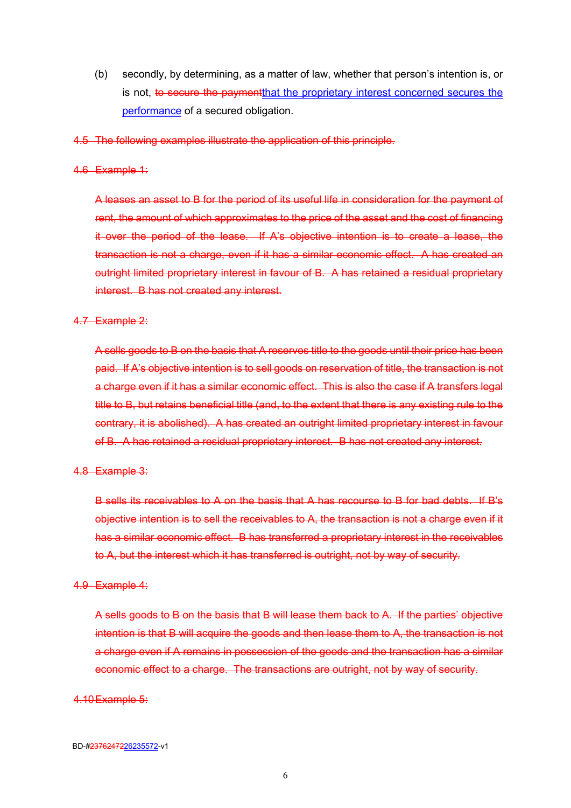- (b) secondly, by determining, as a matter of law, whether that person's intention is, or is not, to secure the payment that the proprietary interest concerned secures the performance of a secured obligation.
- 4.5 The following examples illustrate the application of this principle.

#### 4.6 Example 1:

A leases an asset to B for the period of its useful life in consideration for the payment of rent, the amount of which approximates to the price of the asset and the cost of financing it over the period of the lease. If A's objective intention is to create a lease, the transaction is not a charge, even if it has a similar economic effect. A has created an outright limited proprietary interest in favour of B. A has retained a residual proprietary interest. B has not created any interest.

#### 4.7 Example 2:

A sells goods to B on the basis that A reserves title to the goods until their price has been paid. If A's objective intention is to sell goods on reservation of title, the transaction is not a charge even if it has a similar economic effect. This is also the case if A transfers legal title to B, but retains beneficial title (and, to the extent that there is any existing rule to the contrary, it is abolished). A has created an outright limited proprietary interest in favour of B. A has retained a residual proprietary interest. B has not created any interest.

#### 4.8 Example 3:

B sells its receivables to A on the basis that A has recourse to B for bad debts. If B's objective intention is to sell the receivables to A, the transaction is not a charge even if it has a similar economic effect. B has transferred a proprietary interest in the receivables to A, but the interest which it has transferred is outright, not by way of security.

#### 4.9 Example 4:

A sells goods to B on the basis that B will lease them back to A. If the parties' objective intention is that B will acquire the goods and then lease them to A, the transaction is not a charge even if A remains in possession of the goods and the transaction has a similar economic effect to a charge. The transactions are outright, not by way of security.

#### 4.10Example 5: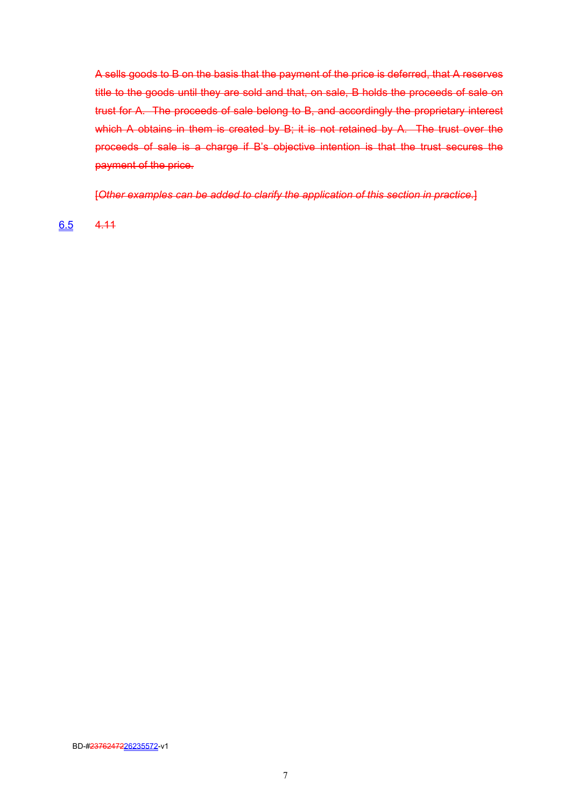A sells goods to B on the basis that the payment of the price is deferred, that A reserves title to the goods until they are sold and that, on sale, B holds the proceeds of sale on trust for A. The proceeds of sale belong to B, and accordingly the proprietary interest which A obtains in them is created by B; it is not retained by A. The trust over the proceeds of sale is a charge if B's objective intention is that the trust secures the payment of the price.

[*Other examples can be added to clarify the application of this section in practice.*]

6.5 4.11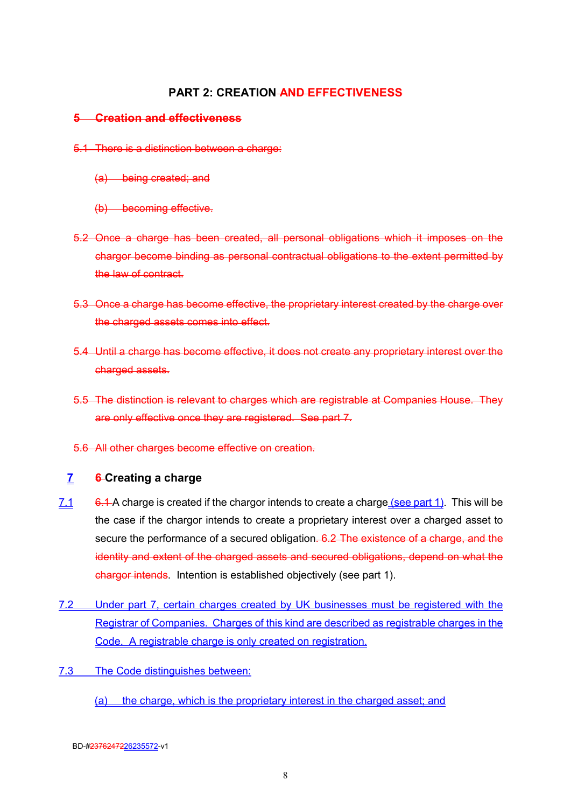# **PART 2: CREATION AND EFFECTIVENESS**

#### **5 Creation and effectiveness**

- 5.1 There is a distinction between a charge:
	- (a) being created; and
	- (b) becoming effective.
- 5.2 Once a charge has been created, all personal obligations which it imposes on the chargor become binding as personal contractual obligations to the extent permitted by the law of contract.
- 5.3 Once a charge has become effective, the proprietary interest created by the charge over the charged assets comes into effect.
- 5.4 Until a charge has become effective, it does not create any proprietary interest over the charged assets.
- 5.5 The distinction is relevant to charges which are registrable at Companies House. They are only effective once they are registered. See part 7.
- 5.6 All other charges become effective on creation.

# **7 6 Creating a charge**

- 7.1  $\div$  6.1 A charge is created if the chargor intends to create a charge (see part 1). This will be the case if the chargor intends to create a proprietary interest over a charged asset to secure the performance of a secured obligation. 6.2 The existence of a charge, and the identity and extent of the charged assets and secured obligations, depend on what the chargor intends. Intention is established objectively (see part 1).
- 7.2 Under part 7, certain charges created by UK businesses must be registered with the Registrar of Companies. Charges of this kind are described as registrable charges in the Code. A registrable charge is only created on registration.
- 7.3 The Code distinguishes between:
	- (a) the charge, which is the proprietary interest in the charged asset; and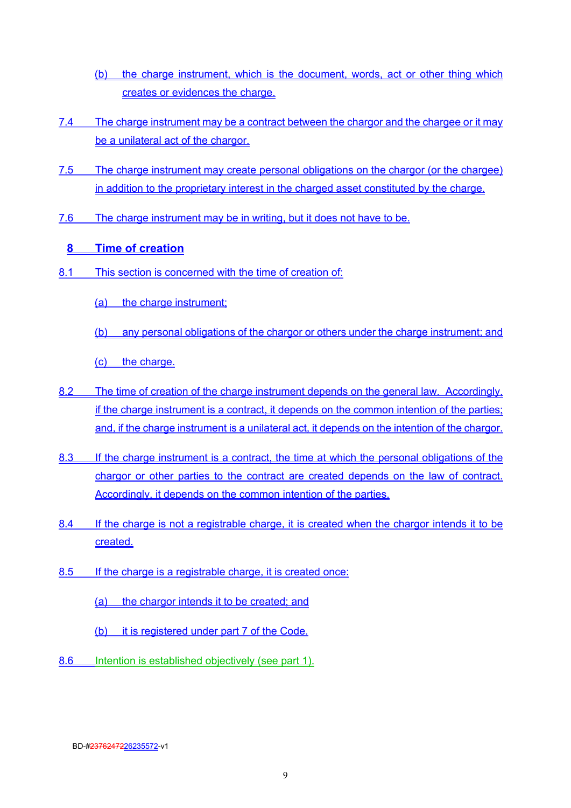- (b) the charge instrument, which is the document, words, act or other thing which creates or evidences the charge.
- 7.4 The charge instrument may be a contract between the chargor and the chargee or it may be a unilateral act of the chargor.
- 7.5 The charge instrument may create personal obligations on the chargor (or the chargee) in addition to the proprietary interest in the charged asset constituted by the charge.
- 7.6 The charge instrument may be in writing, but it does not have to be.

# **8 Time of creation**

8.1 This section is concerned with the time of creation of:

(a) the charge instrument;

(b) any personal obligations of the chargor or others under the charge instrument; and

(c) the charge.

- 8.2 The time of creation of the charge instrument depends on the general law. Accordingly, if the charge instrument is a contract, it depends on the common intention of the parties; and, if the charge instrument is a unilateral act, it depends on the intention of the chargor.
- 8.3 If the charge instrument is a contract, the time at which the personal obligations of the chargor or other parties to the contract are created depends on the law of contract. Accordingly, it depends on the common intention of the parties.
- 8.4 If the charge is not a registrable charge, it is created when the chargor intends it to be created.
- 8.5 If the charge is a registrable charge, it is created once:
	- (a) the chargor intends it to be created; and

(b) it is registered under part 7 of the Code.

8.6 Intention is established objectively (see part 1).

#### BD-#2376247226235572-v1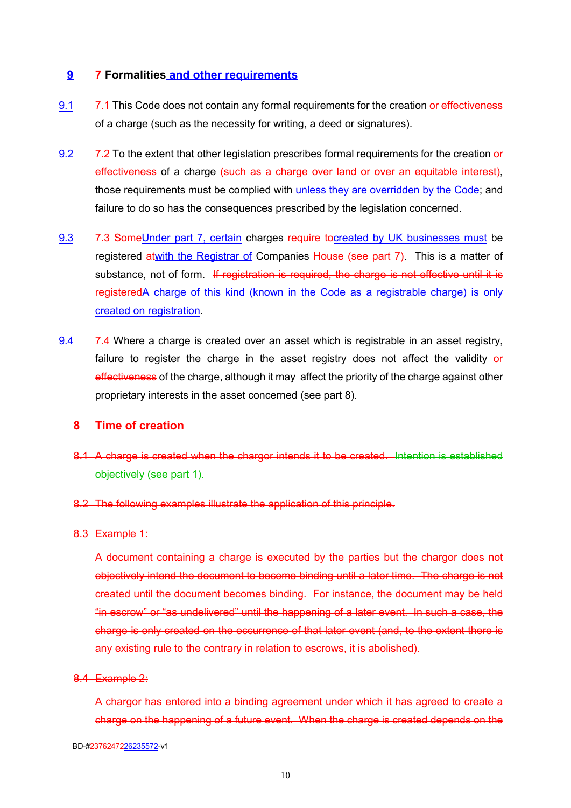### **9 7 Formalities and other requirements**

- 9.1 7.1 This Code does not contain any formal requirements for the creation-or effectiveness of a charge (such as the necessity for writing, a deed or signatures).
- $\frac{9.2}{7.2}$  To the extent that other legislation prescribes formal requirements for the creation-or effectiveness of a charge (such as a charge over land or over an equitable interest), those requirements must be complied with unless they are overridden by the Code; and failure to do so has the consequences prescribed by the legislation concerned.
- 9.3 7.3 SomeUnder part 7, certain charges require tocreated by UK businesses must be registered atwith the Registrar of Companies House (see part 7). This is a matter of substance, not of form. If registration is required, the charge is not effective until it is registeredA charge of this kind (known in the Code as a registrable charge) is only created on registration.
- 9.4 7.4 Where a charge is created over an asset which is registrable in an asset registry, failure to register the charge in the asset registry does not affect the validity-or effectiveness of the charge, although it may affect the priority of the charge against other proprietary interests in the asset concerned (see part 8).

### **8 Time of creation**

- 8.1 A charge is created when the chargor intends it to be created. Intention is established objectively (see part 1).
- 8.2 The following examples illustrate the application of this principle.
- 8.3 Example 1:

A document containing a charge is executed by the parties but the chargor does not objectively intend the document to become binding until a later time. The charge is not created until the document becomes binding. For instance, the document may be held "in escrow" or "as undelivered" until the happening of a later event. In such a case, the charge is only created on the occurrence of that later event (and, to the extent there is any existing rule to the contrary in relation to escrows, it is abolished).

8.4 Example 2:

A chargor has entered into a binding agreement under which it has agreed to create a charge on the happening of a future event. When the charge is created depends on the

BD-#2376247226235572-v1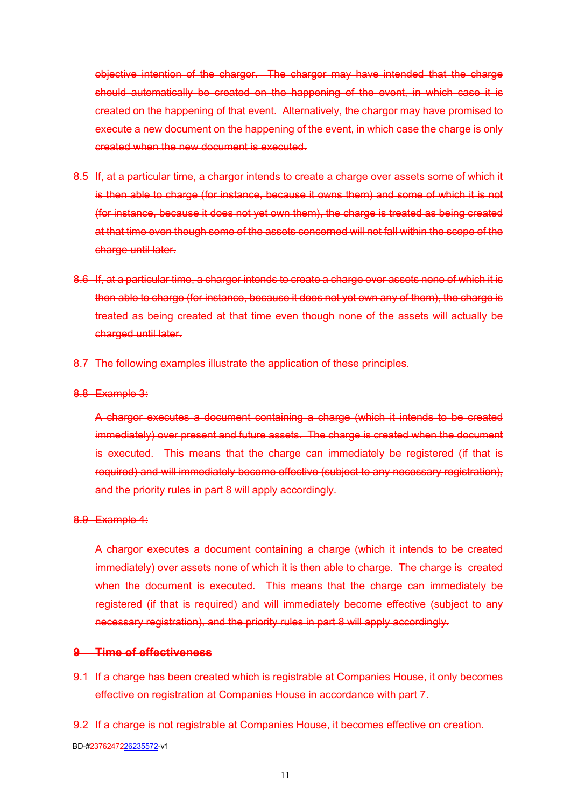objective intention of the chargor. The chargor may have intended that the charge should automatically be created on the happening of the event, in which case it is created on the happening of that event. Alternatively, the chargor may have promised to execute a new document on the happening of the event, in which case the charge is only created when the new document is executed.

- 8.5 If, at a particular time, a chargor intends to create a charge over assets some of which it is then able to charge (for instance, because it owns them) and some of which it is not (for instance, because it does not yet own them), the charge is treated as being created at that time even though some of the assets concerned will not fall within the scope of the charge until later.
- 8.6 If, at a particular time, a chargor intends to create a charge over assets none of which it is then able to charge (for instance, because it does not yet own any of them), the charge is treated as being created at that time even though none of the assets will actually be charged until later.
- 8.7 The following examples illustrate the application of these principles.

#### 8.8 Example 3:

A chargor executes a document containing a charge (which it intends to be created immediately) over present and future assets. The charge is created when the document is executed. This means that the charge can immediately be registered (if that is required) and will immediately become effective (subject to any necessary registration), and the priority rules in part 8 will apply accordingly.

#### 8.9 Example 4:

A chargor executes a document containing a charge (which it intends to be created immediately) over assets none of which it is then able to charge. The charge is created when the document is executed. This means that the charge can immediately be registered (if that is required) and will immediately become effective (subject to any necessary registration), and the priority rules in part 8 will apply accordingly.

#### **9 Time of effectiveness**

- 9.1 If a charge has been created which is registrable at Companies House, it only becomes effective on registration at Companies House in accordance with part 7.
- BD-#2376247226235572-v1 9.2 If a charge is not registrable at Companies House, it becomes effective on creation.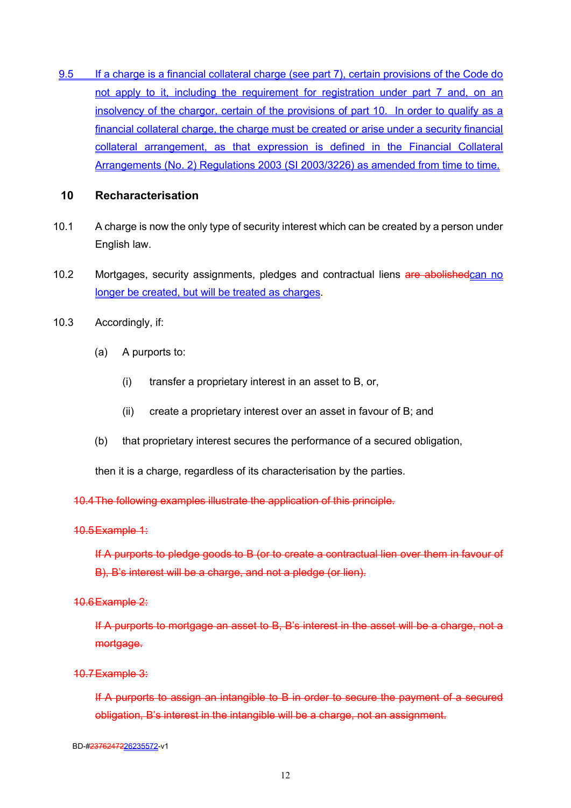9.5 If a charge is a financial collateral charge (see part 7), certain provisions of the Code do not apply to it, including the requirement for registration under part 7 and, on an insolvency of the chargor, certain of the provisions of part 10. In order to qualify as a financial collateral charge, the charge must be created or arise under a security financial collateral arrangement, as that expression is defined in the Financial Collateral Arrangements (No. 2) Regulations 2003 (SI 2003/3226) as amended from time to time.

# **10 Recharacterisation**

- 10.1 A charge is now the only type of security interest which can be created by a person under English law.
- 10.2 Mortgages, security assignments, pledges and contractual liens are abolishedcan no longer be created, but will be treated as charges.
- 10.3 Accordingly, if:
	- (a) A purports to:
		- (i) transfer a proprietary interest in an asset to B, or,
		- (ii) create a proprietary interest over an asset in favour of B; and
	- (b) that proprietary interest secures the performance of a secured obligation,

then it is a charge, regardless of its characterisation by the parties.

#### 10.4The following examples illustrate the application of this principle.

#### 10.5Example 1:

If A purports to pledge goods to B (or to create a contractual lien over them in favour of B), B's interest will be a charge, and not a pledge (or lien).

#### 10.6Example 2:

If A purports to mortgage an asset to B, B's interest in the asset will be a charge, not a mortgage.

#### 10.7Example 3:

If A purports to assign an intangible to B in order to secure the payment of a secured obligation, B's interest in the intangible will be a charge, not an assignment.

```
BD-#2376247226235572-v1
```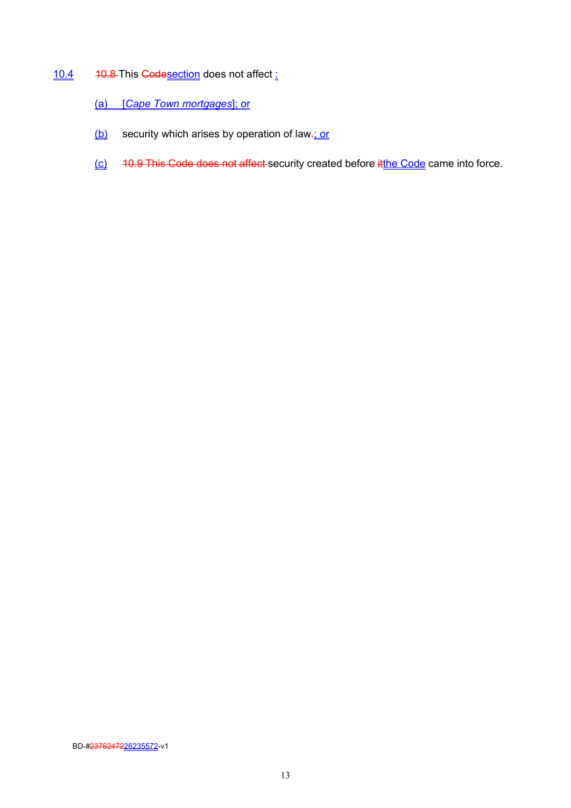10.4 10.8 This Codesection does not affect:

(a) [*Cape Town mortgages*]; or

- $(b)$  security which arises by operation of law- $\frac{1}{2}$  or
- (c) 40.9 This Code does not affect security created before it the Code came into force.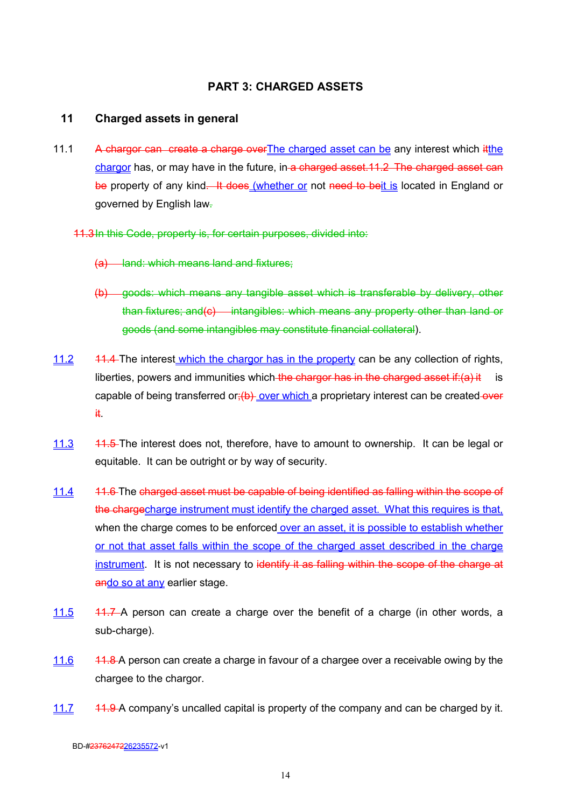# **PART 3: CHARGED ASSETS**

### **11 Charged assets in general**

- 11.1 A chargor can create a charge over The charged asset can be any interest which it the chargor has, or may have in the future, in-a charged asset. 11.2 The charged asset can be property of any kind. It does (whether or not need to beit is located in England or governed by English law.
	- 11.3In this Code, property is, for certain purposes, divided into:
		- (a) land: which means land and fixtures;
		- (b) goods: which means any tangible asset which is transferable by delivery, other than fixtures; and(c) intangibles: which means any property other than land or goods (and some intangibles may constitute financial collateral).
- 11.2 11.4 The interest which the chargor has in the property can be any collection of rights, liberties, powers and immunities which the chargor has in the charged asset if:(a) it is capable of being transferred or: $(b)$  over which a proprietary interest can be created over it.
- 11.3 11.5 The interest does not, therefore, have to amount to ownership. It can be legal or equitable. It can be outright or by way of security.
- 11.4 11.6 The charged asset must be capable of being identified as falling within the scope of the chargecharge instrument must identify the charged asset. What this requires is that, when the charge comes to be enforced over an asset, it is possible to establish whether or not that asset falls within the scope of the charged asset described in the charge instrument. It is not necessary to identify it as falling within the scope of the charge at ando so at any earlier stage.
- 11.5  $\div$  11.7 A person can create a charge over the benefit of a charge (in other words, a sub-charge).
- 11.6 11.8 A person can create a charge in favour of a chargee over a receivable owing by the chargee to the chargor.
- $11.7$  11.9 A company's uncalled capital is property of the company and can be charged by it.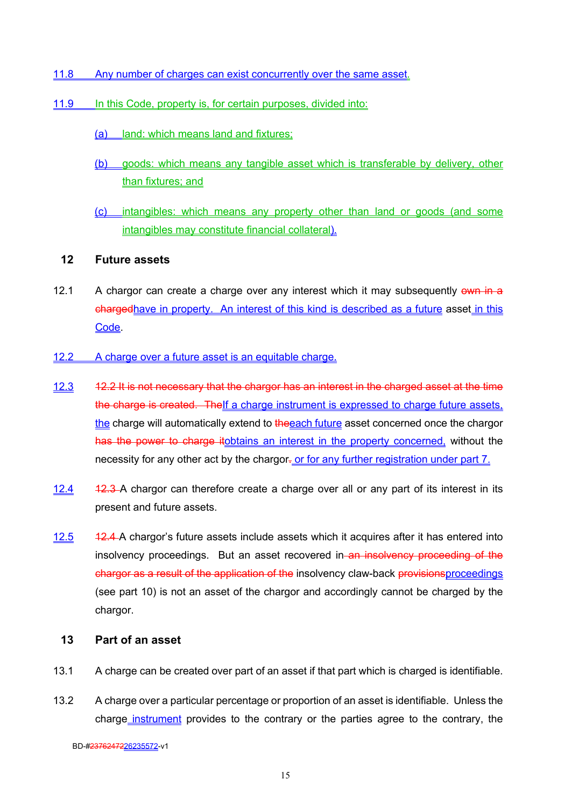- 11.8 Any number of charges can exist concurrently over the same asset.
- 11.9 In this Code, property is, for certain purposes, divided into:
	- (a) land: which means land and fixtures;
	- (b) goods: which means any tangible asset which is transferable by delivery, other than fixtures; and
	- (c) intangibles: which means any property other than land or goods (and some intangibles may constitute financial collateral).

# **12 Future assets**

- 12.1 A chargor can create a charge over any interest which it may subsequently own in a chargedhave in property. An interest of this kind is described as a future asset in this Code.
- 12.2 A charge over a future asset is an equitable charge.
- 12.3 12.2 It is not necessary that the chargor has an interest in the charged asset at the time the charge is created. The If a charge instrument is expressed to charge future assets, the charge will automatically extend to the each future asset concerned once the chargor has the power to charge itobtains an interest in the property concerned, without the necessity for any other act by the chargor- or for any further registration under part 7.
- 12.4 12.3 A chargor can therefore create a charge over all or any part of its interest in its present and future assets.
- 12.5 12.4 A chargor's future assets include assets which it acquires after it has entered into insolvency proceedings. But an asset recovered in an insolvency proceeding of the chargor as a result of the application of the insolvency claw-back provisionsproceedings (see part 10) is not an asset of the chargor and accordingly cannot be charged by the chargor.

# **13 Part of an asset**

- 13.1 A charge can be created over part of an asset if that part which is charged is identifiable.
- 13.2 A charge over a particular percentage or proportion of an asset is identifiable. Unless the charge instrument provides to the contrary or the parties agree to the contrary, the

BD-#2376247226235572-v1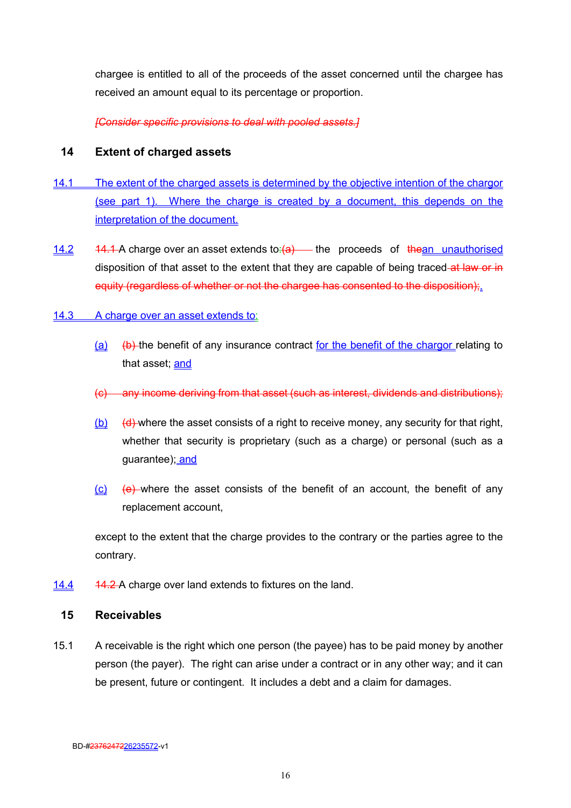chargee is entitled to all of the proceeds of the asset concerned until the chargee has received an amount equal to its percentage or proportion.

*[Consider specific provisions to deal with pooled assets.]*

# **14 Extent of charged assets**

- 14.1 The extent of the charged assets is determined by the objective intention of the chargor (see part 1). Where the charge is created by a document, this depends on the interpretation of the document.
- 14.2  $\overline{14.2}$  14.1 A charge over an asset extends to: $\overline{(a)}$  the proceeds of thean unauthorised disposition of that asset to the extent that they are capable of being traced-at law or in equity (regardless of whether or not the chargee has consented to the disposition);.

# 14.3 A charge over an asset extends to:

- $(a)$  (b) the benefit of any insurance contract for the benefit of the chargor relating to that asset; and
- (c) any income deriving from that asset (such as interest, dividends and distributions);
- $(b)$  (d) where the asset consists of a right to receive money, any security for that right, whether that security is proprietary (such as a charge) or personal (such as a guarantee); and
- (c)  $\left( \theta \right)$  where the asset consists of the benefit of an account, the benefit of any replacement account,

except to the extent that the charge provides to the contrary or the parties agree to the contrary.

14.4 14.2 A charge over land extends to fixtures on the land.

# **15 Receivables**

15.1 A receivable is the right which one person (the payee) has to be paid money by another person (the payer). The right can arise under a contract or in any other way; and it can be present, future or contingent. It includes a debt and a claim for damages.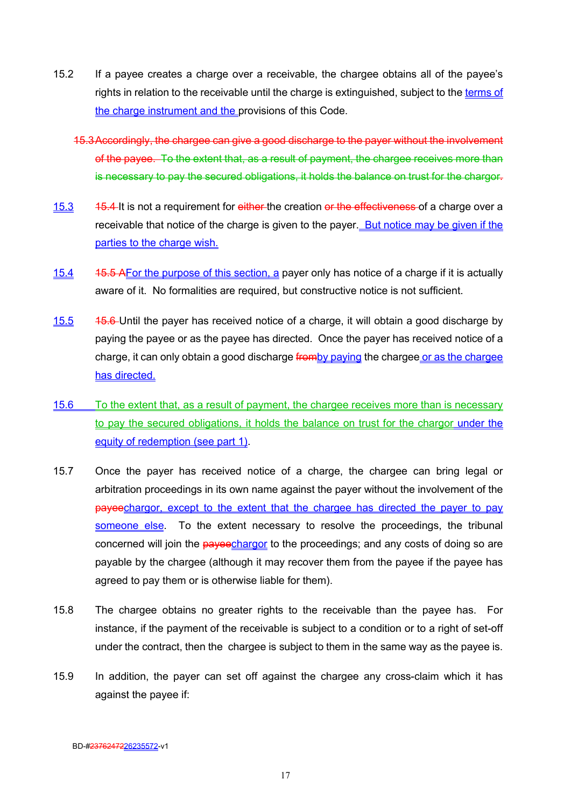- 15.2 If a payee creates a charge over a receivable, the chargee obtains all of the payee's rights in relation to the receivable until the charge is extinguished, subject to the terms of the charge instrument and the provisions of this Code.
	- 15.3Accordingly, the chargee can give a good discharge to the payer without the involvement of the payee. To the extent that, as a result of payment, the chargee receives more than is necessary to pay the secured obligations, it holds the balance on trust for the chargor.
- 15.3 15.4 It is not a requirement for either the creation or the effectiveness of a charge over a receivable that notice of the charge is given to the payer. But notice may be given if the parties to the charge wish.
- 15.4 15.5 AFor the purpose of this section, a payer only has notice of a charge if it is actually aware of it. No formalities are required, but constructive notice is not sufficient.
- 15.5 15.6 Until the payer has received notice of a charge, it will obtain a good discharge by paying the payee or as the payee has directed. Once the payer has received notice of a charge, it can only obtain a good discharge fromby paying the chargee or as the chargee has directed.
- 15.6 To the extent that, as a result of payment, the chargee receives more than is necessary to pay the secured obligations, it holds the balance on trust for the chargor under the equity of redemption (see part 1).
- 15.7 Once the payer has received notice of a charge, the chargee can bring legal or arbitration proceedings in its own name against the payer without the involvement of the payeechargor, except to the extent that the chargee has directed the payer to pay someone else. To the extent necessary to resolve the proceedings, the tribunal concerned will join the **payeechargor** to the proceedings; and any costs of doing so are payable by the chargee (although it may recover them from the payee if the payee has agreed to pay them or is otherwise liable for them).
- 15.8 The chargee obtains no greater rights to the receivable than the payee has. For instance, if the payment of the receivable is subject to a condition or to a right of set-off under the contract, then the chargee is subject to them in the same way as the payee is.
- 15.9 In addition, the payer can set off against the chargee any cross-claim which it has against the payee if: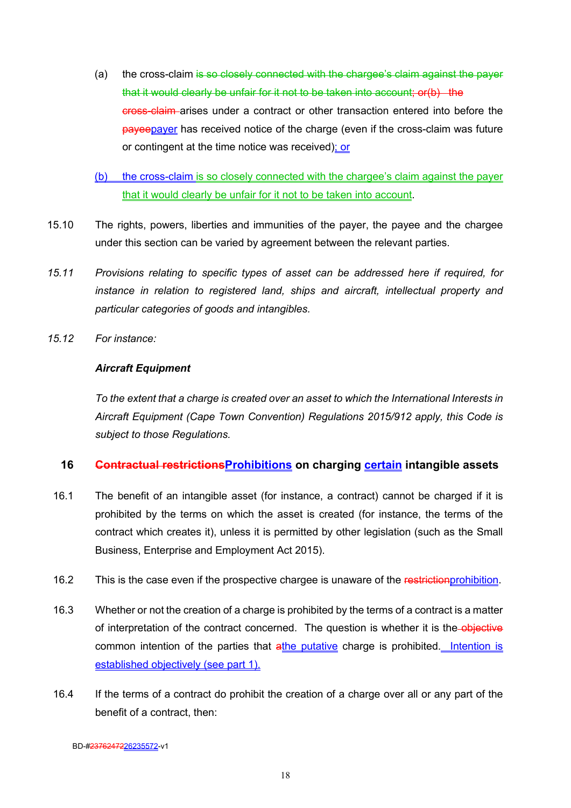- (a) the cross-claim is so closely connected with the chargee's claim against the payer that it would clearly be unfair for it not to be taken into account:  $or(b)$  the cross-claim arises under a contract or other transaction entered into before the payeepayer has received notice of the charge (even if the cross-claim was future or contingent at the time notice was received); or
- (b) the cross-claim is so closely connected with the chargee's claim against the payer that it would clearly be unfair for it not to be taken into account.
- 15.10 The rights, powers, liberties and immunities of the payer, the payee and the chargee under this section can be varied by agreement between the relevant parties.
- *15.11 Provisions relating to specific types of asset can be addressed here if required, for instance in relation to registered land, ships and aircraft, intellectual property and particular categories of goods and intangibles.*
- *15.12 For instance:*

#### *Aircraft Equipment*

*To the extent that a charge is created over an asset to which the International Interests in Aircraft Equipment (Cape Town Convention) Regulations 2015/912 apply, this Code is subject to those Regulations.*

# **16 Contractual restrictionsProhibitions on charging certain intangible assets**

- 16.1 The benefit of an intangible asset (for instance, a contract) cannot be charged if it is prohibited by the terms on which the asset is created (for instance, the terms of the contract which creates it), unless it is permitted by other legislation (such as the Small Business, Enterprise and Employment Act 2015).
- 16.2 This is the case even if the prospective chargee is unaware of the restriction prohibition.
- 16.3 Whether or not the creation of a charge is prohibited by the terms of a contract is a matter of interpretation of the contract concerned. The question is whether it is the objective common intention of the parties that athe putative charge is prohibited. Intention is established objectively (see part 1).
- 16.4 If the terms of a contract do prohibit the creation of a charge over all or any part of the benefit of a contract, then: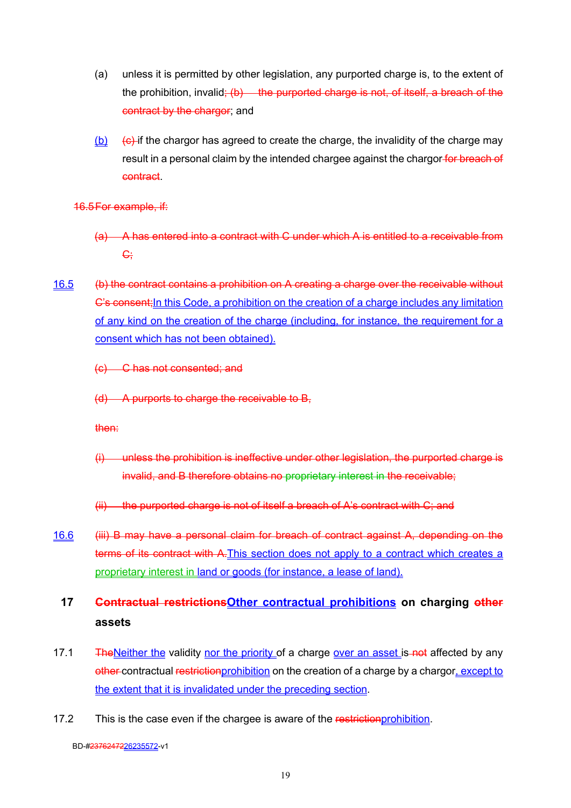- (a) unless it is permitted by other legislation, any purported charge is, to the extent of the prohibition, invalid;  $(b)$  the purported charge is not, of itself, a breach of the contract by the chargor; and
- $(b)$  (c) if the chargor has agreed to create the charge, the invalidity of the charge may result in a personal claim by the intended chargee against the chargor for breach of contract.

#### 16.5For example, if:

- (a) A has entered into a contract with C under which A is entitled to a receivable from C;
- 16.5 (b) the contract contains a prohibition on A creating a charge over the receivable without C's consent;In this Code, a prohibition on the creation of a charge includes any limitation of any kind on the creation of the charge (including, for instance, the requirement for a consent which has not been obtained).
	- (c) C has not consented; and
	- (d) A purports to charge the receivable to B,

then:

- (i) unless the prohibition is ineffective under other legislation, the purported charge is invalid, and B therefore obtains no proprietary interest in the receivable;
- $(i)$  the purported charge is not of itself a breach of A's contract with  $C_i$  and
- 16.6 (iii) B may have a personal claim for breach of contract against A, depending on the terms of its contract with A.This section does not apply to a contract which creates a proprietary interest in land or goods (for instance, a lease of land).

# **17 Contractual restrictionsOther contractual prohibitions on charging other assets**

- 17.1 The Neither the validity nor the priority of a charge over an asset is not affected by any other contractual restriction prohibition on the creation of a charge by a chargor, except to the extent that it is invalidated under the preceding section.
- 17.2 This is the case even if the chargee is aware of the restriction prohibition.

BD-#2376247226235572-v1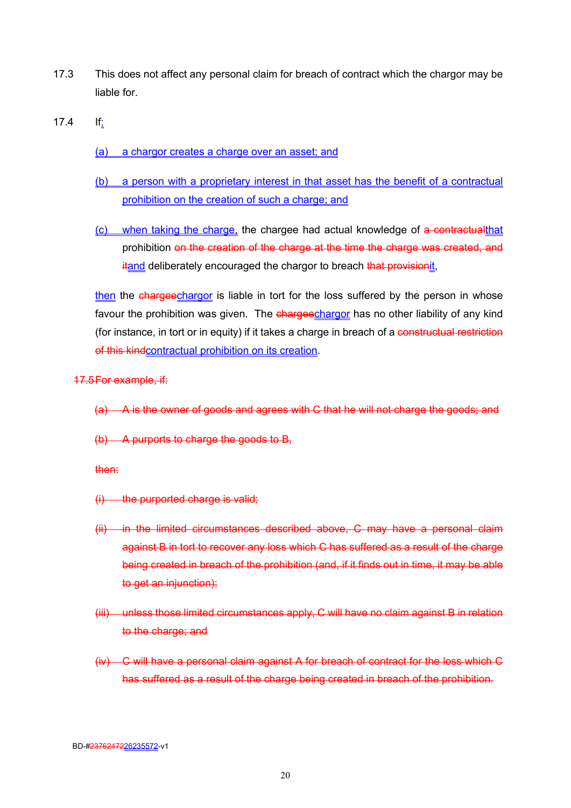- 17.3 This does not affect any personal claim for breach of contract which the chargor may be liable for.
- 17.4 If:
	- (a) a chargor creates a charge over an asset; and
	- (b) a person with a proprietary interest in that asset has the benefit of a contractual prohibition on the creation of such a charge; and
	- (c) when taking the charge, the chargee had actual knowledge of a contractualthat prohibition on the creation of the charge at the time the charge was created, and itand deliberately encouraged the chargor to breach that provisionit,

then the chargeechargor is liable in tort for the loss suffered by the person in whose favour the prohibition was given. The chargeechargor has no other liability of any kind (for instance, in tort or in equity) if it takes a charge in breach of a constructual restriction of this kindcontractual prohibition on its creation.

- 17.5For example, if:
	- (a) A is the owner of goods and agrees with C that he will not charge the goods; and
	- (b) A purports to charge the goods to B,

then:

- $(i)$  the purported charge is valid;
- (ii) in the limited circumstances described above, C may have a personal claim against B in tort to recover any loss which C has suffered as a result of the charge being created in breach of the prohibition (and, if it finds out in time, it may be able to get an injunction);
- (iii) unless those limited circumstances apply, C will have no claim against B in relation to the charge; and
- (iv) C will have a personal claim against A for breach of contract for the loss which C has suffered as a result of the charge being created in breach of the prohibition.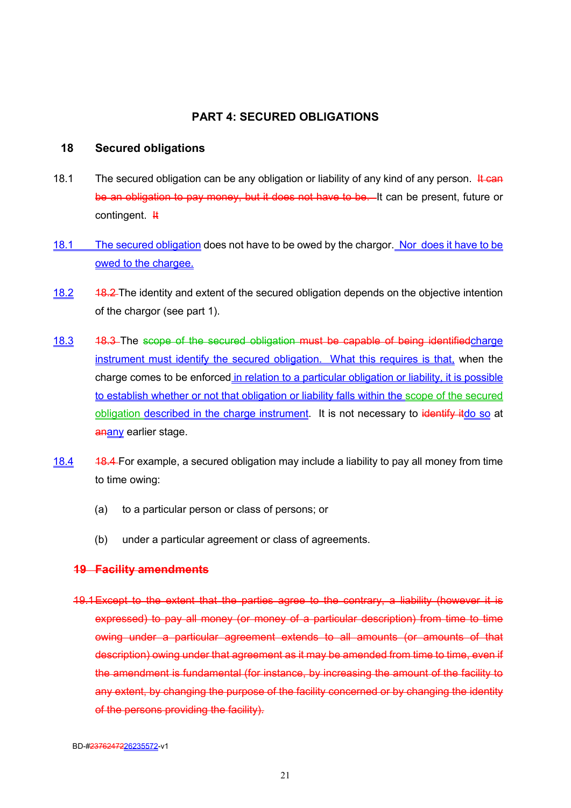# **PART 4: SECURED OBLIGATIONS**

#### **18 Secured obligations**

- 18.1 The secured obligation can be any obligation or liability of any kind of any person. It can be an obligation to pay money, but it does not have to be. It can be present, future or contingent.  $\text{H}$
- 18.1 The secured obligation does not have to be owed by the chargor. Nor does it have to be owed to the chargee.
- 18.2 18.2 The identity and extent of the secured obligation depends on the objective intention of the chargor (see part 1).
- 18.3 48.3 The scope of the secured obligation must be capable of being identifiedcharge instrument must identify the secured obligation. What this requires is that, when the charge comes to be enforced in relation to a particular obligation or liability, it is possible to establish whether or not that obligation or liability falls within the scope of the secured obligation described in the charge instrument. It is not necessary to identify itdo so at anany earlier stage.
- 18.4 18.4 For example, a secured obligation may include a liability to pay all money from time to time owing:
	- (a) to a particular person or class of persons; or
	- (b) under a particular agreement or class of agreements.

# **19 Facility amendments**

19.1Except to the extent that the parties agree to the contrary, a liability (however it is expressed) to pay all money (or money of a particular description) from time to time owing under a particular agreement extends to all amounts (or amounts of that description) owing under that agreement as it may be amended from time to time, even if the amendment is fundamental (for instance, by increasing the amount of the facility to any extent, by changing the purpose of the facility concerned or by changing the identity of the persons providing the facility).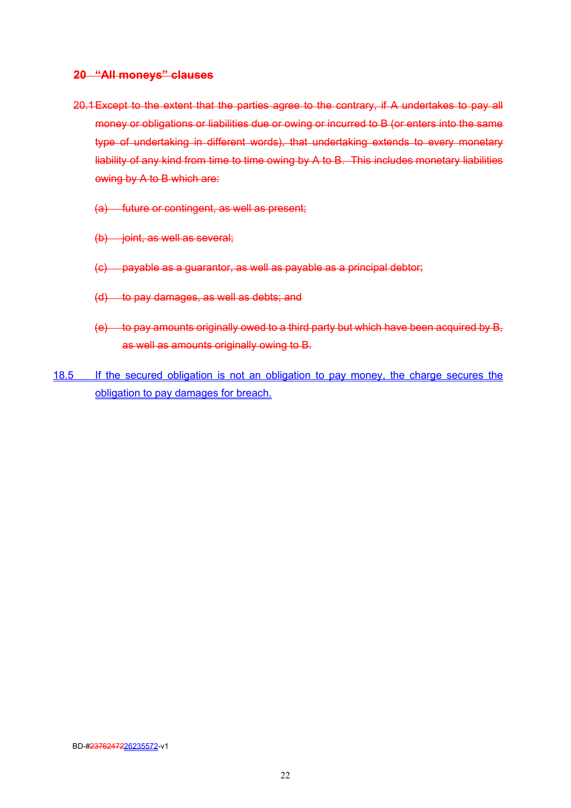# **20 "All moneys" clauses**

- 20.1Except to the extent that the parties agree to the contrary, if A undertakes to pay all money or obligations or liabilities due or owing or incurred to B (or enters into the same type of undertaking in different words), that undertaking extends to every monetary liability of any kind from time to time owing by A to B. This includes monetary liabilities owing by A to B which are:
	- (a) future or contingent, as well as present;
	- (b) joint, as well as several;
	- (c) payable as a guarantor, as well as payable as a principal debtor;
	- (d) to pay damages, as well as debts; and
	- $(e)$  to pay amounts originally owed to a third party but which have been acquired by B, as well as amounts originally owing to B.
- 18.5 If the secured obligation is not an obligation to pay money, the charge secures the obligation to pay damages for breach.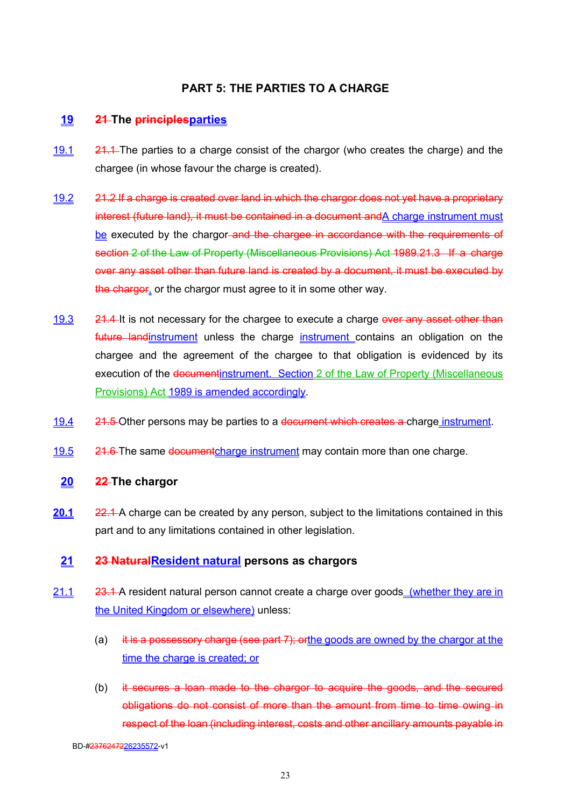# **PART 5: THE PARTIES TO A CHARGE**

### **19 21 The principlesparties**

- 19.1 21.1 The parties to a charge consist of the chargor (who creates the charge) and the chargee (in whose favour the charge is created).
- 19.2 21.2 If a charge is created over land in which the chargor does not yet have a proprietary interest (future land), it must be contained in a document and A charge instrument must be executed by the chargor-and the chargee in accordance with the requirements of section 2 of the Law of Property (Miscellaneous Provisions) Act 1989.21.3 If a charge over any asset other than future land is created by a document, it must be executed by the chargor, or the chargor must agree to it in some other way.
- 19.3 21.4 It is not necessary for the chargee to execute a charge over any asset other than future landinstrument unless the charge instrument contains an obligation on the chargee and the agreement of the chargee to that obligation is evidenced by its execution of the documentinstrument. Section 2 of the Law of Property (Miscellaneous Provisions) Act 1989 is amended accordingly.
- 19.4 21.5 Other persons may be parties to a document which creates a charge instrument.
- 19.5 21.6 The same document charge instrument may contain more than one charge.

#### **20 22 The chargor**

**20.1** 22.1 A charge can be created by any person, subject to the limitations contained in this part and to any limitations contained in other legislation.

#### **21 23 NaturalResident natural persons as chargors**

- 21.1 23.1 A resident natural person cannot create a charge over goods (whether they are in the United Kingdom or elsewhere) unless:
	- (a) it is a possessory charge (see part  $7$ ); or the goods are owned by the chargor at the time the charge is created; or
	- (b) it secures a loan made to the chargor to acquire the goods, and the secured obligations do not consist of more than the amount from time to time owing in respect of the loan (including interest, costs and other ancillary amounts payable in

BD-#2376247226235572-v1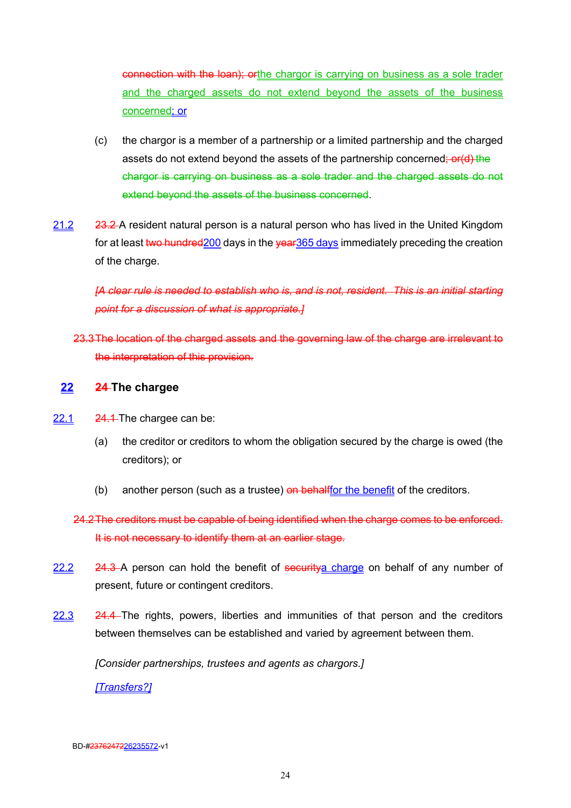connection with the loan); orthe chargor is carrying on business as a sole trader and the charged assets do not extend beyond the assets of the business concerned; or

- (c) the chargor is a member of a partnership or a limited partnership and the charged assets do not extend beyond the assets of the partnership concerned;  $\sigma r(d)$  the chargor is carrying on business as a sole trader and the charged assets do not extend beyond the assets of the business concerned.
- 21.2 23.2 A resident natural person is a natural person who has lived in the United Kingdom for at least two hundred 200 days in the year 365 days immediately preceding the creation of the charge.

*[A clear rule is needed to establish who is, and is not, resident. This is an initial starting point for a discussion of what is appropriate.]*

- 23.3The location of the charged assets and the governing law of the charge are irrelevant to the interpretation of this provision.
- **22 24 The chargee**
- 22.1 24.1 The chargee can be:
	- (a) the creditor or creditors to whom the obligation secured by the charge is owed (the creditors); or
	- (b) another person (such as a trustee)  $\Theta$  behalf for the benefit of the creditors.
	- 24.2The creditors must be capable of being identified when the charge comes to be enforced. It is not necessary to identify them at an earlier stage.
- $22.2$  24.3 A person can hold the benefit of security a charge on behalf of any number of present, future or contingent creditors.
- 22.3 24.4 The rights, powers, liberties and immunities of that person and the creditors between themselves can be established and varied by agreement between them.

*[Consider partnerships, trustees and agents as chargors.]*

*[Transfers?]*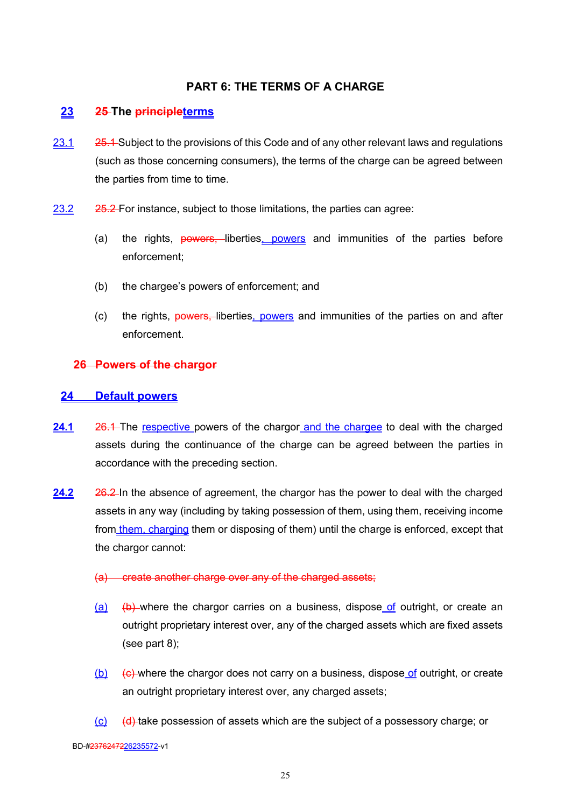# **PART 6: THE TERMS OF A CHARGE**

# **23 25 The principleterms**

- 23.1 25.1 Subject to the provisions of this Code and of any other relevant laws and regulations (such as those concerning consumers), the terms of the charge can be agreed between the parties from time to time.
- 23.2 25.2 For instance, subject to those limitations, the parties can agree:
	- (a) the rights, powers, liberties, powers and immunities of the parties before enforcement;
	- (b) the chargee's powers of enforcement; and
	- (c) the rights, powers, liberties, powers and immunities of the parties on and after enforcement.

# **26 Powers of the chargor**

# **24 Default powers**

- **24.1** 26.1 The respective powers of the chargor and the chargee to deal with the charged assets during the continuance of the charge can be agreed between the parties in accordance with the preceding section.
- **24.2** 26.2 In the absence of agreement, the chargor has the power to deal with the charged assets in any way (including by taking possession of them, using them, receiving income from them, charging them or disposing of them) until the charge is enforced, except that the chargor cannot:

#### (a) create another charge over any of the charged assets;

- (a) (b) where the chargor carries on a business, dispose of outright, or create an outright proprietary interest over, any of the charged assets which are fixed assets (see part 8);
- $(b)$  (c) where the chargor does not carry on a business, dispose of outright, or create an outright proprietary interest over, any charged assets;
- (c)  $\left( \frac{d}{dt} \right)$  take possession of assets which are the subject of a possessory charge; or

BD-#2376247226235572-v1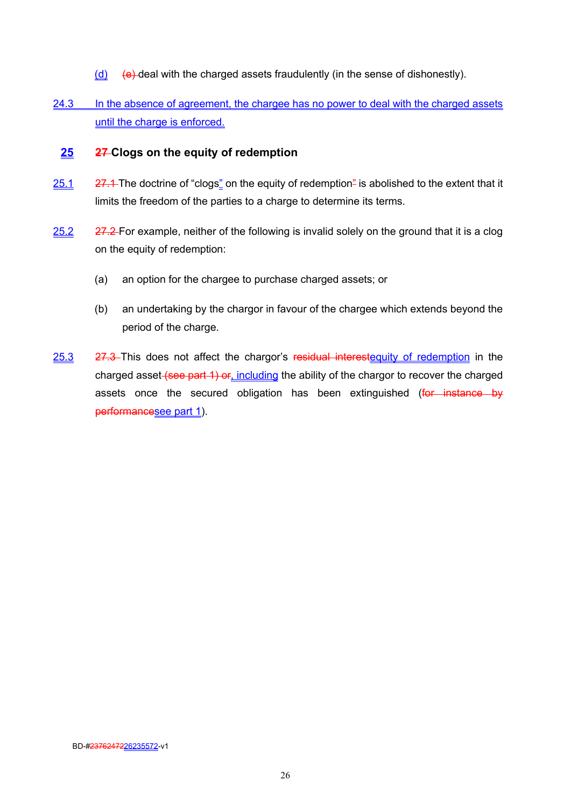- $(d)$  (e) deal with the charged assets fraudulently (in the sense of dishonestly).
- 24.3 In the absence of agreement, the chargee has no power to deal with the charged assets until the charge is enforced.

# **25 27 Clogs on the equity of redemption**

- $25.1$  27.1 The doctrine of "clogs" on the equity of redemption" is abolished to the extent that it limits the freedom of the parties to a charge to determine its terms.
- $25.2$  27.2 For example, neither of the following is invalid solely on the ground that it is a clog on the equity of redemption:
	- (a) an option for the chargee to purchase charged assets; or
	- (b) an undertaking by the chargor in favour of the chargee which extends beyond the period of the charge.
- 25.3 27.3 This does not affect the chargor's residual interestequity of redemption in the charged asset (see part 1) or, including the ability of the chargor to recover the charged assets once the secured obligation has been extinguished (for instance by performancesee part 1).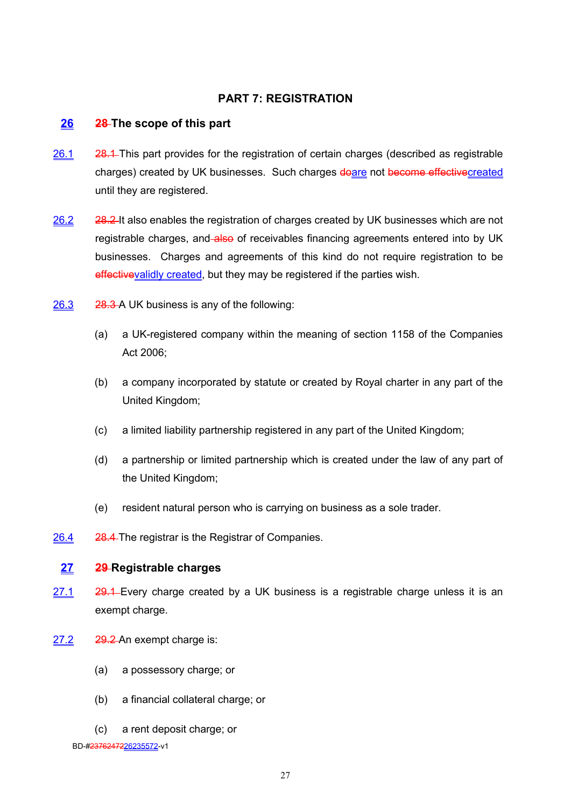# **PART 7: REGISTRATION**

### **26 28 The scope of this part**

- 26.1 28.1 This part provides for the registration of certain charges (described as registrable charges) created by UK businesses. Such charges doare not become effectivecreated until they are registered.
- 26.2 28.2 It also enables the registration of charges created by UK businesses which are not registrable charges, and also of receivables financing agreements entered into by UK businesses. Charges and agreements of this kind do not require registration to be effective validly created, but they may be registered if the parties wish.
- 26.3 28.3 A UK business is any of the following:
	- (a) a UK-registered company within the meaning of section 1158 of the Companies Act 2006;
	- (b) a company incorporated by statute or created by Royal charter in any part of the United Kingdom;
	- (c) a limited liability partnership registered in any part of the United Kingdom;
	- (d) a partnership or limited partnership which is created under the law of any part of the United Kingdom;
	- (e) resident natural person who is carrying on business as a sole trader.
- 26.4 28.4 The registrar is the Registrar of Companies.

#### **27 29 Registrable charges**

- $27.1$  29.1 Every charge created by a UK business is a registrable charge unless it is an exempt charge.
- 27.2 29.2 An exempt charge is:
	- (a) a possessory charge; or
	- (b) a financial collateral charge; or
	- (c) a rent deposit charge; or

BD-#2376247226235572-v1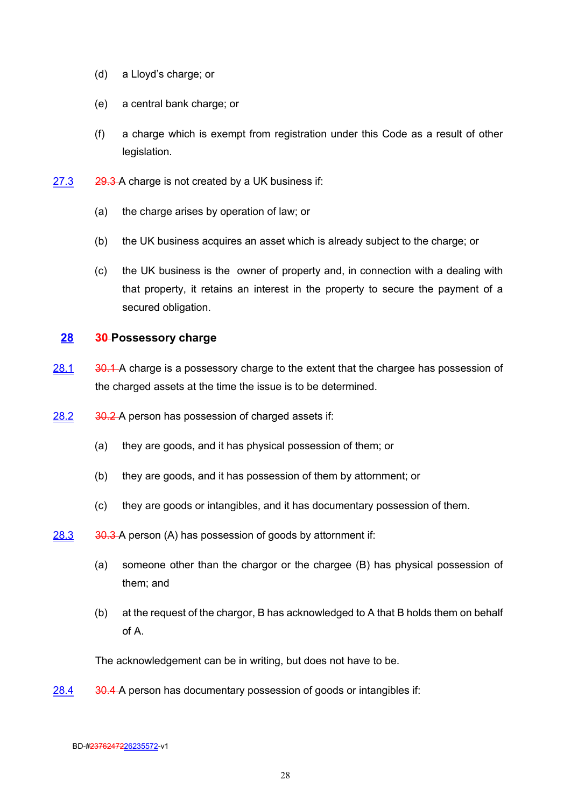- (d) a Lloyd's charge; or
- (e) a central bank charge; or
- (f) a charge which is exempt from registration under this Code as a result of other legislation.
- 27.3 29.3 A charge is not created by a UK business if:
	- (a) the charge arises by operation of law; or
	- (b) the UK business acquires an asset which is already subject to the charge; or
	- (c) the UK business is the owner of property and, in connection with a dealing with that property, it retains an interest in the property to secure the payment of a secured obligation.

#### **28 30 Possessory charge**

- $28.1$  30.1 A charge is a possessory charge to the extent that the chargee has possession of the charged assets at the time the issue is to be determined.
- 28.2 30.2 A person has possession of charged assets if:
	- (a) they are goods, and it has physical possession of them; or
	- (b) they are goods, and it has possession of them by attornment; or
	- (c) they are goods or intangibles, and it has documentary possession of them.
- 28.3 30.3 A person (A) has possession of goods by attornment if:
	- (a) someone other than the chargor or the chargee (B) has physical possession of them; and
	- (b) at the request of the chargor, B has acknowledged to A that B holds them on behalf of A.

The acknowledgement can be in writing, but does not have to be.

28.4 30.4 A person has documentary possession of goods or intangibles if: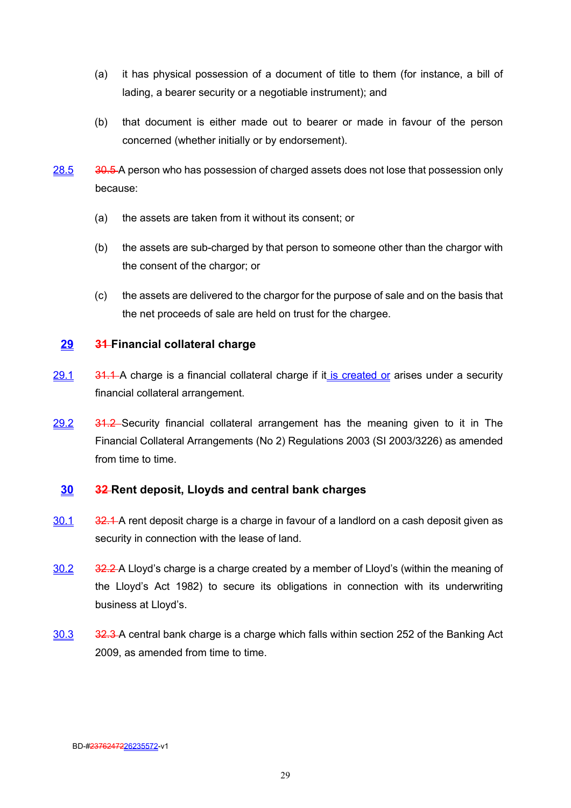- (a) it has physical possession of a document of title to them (for instance, a bill of lading, a bearer security or a negotiable instrument); and
- (b) that document is either made out to bearer or made in favour of the person concerned (whether initially or by endorsement).
- 28.5 30.5 A person who has possession of charged assets does not lose that possession only because:
	- (a) the assets are taken from it without its consent; or
	- (b) the assets are sub-charged by that person to someone other than the chargor with the consent of the chargor; or
	- (c) the assets are delivered to the chargor for the purpose of sale and on the basis that the net proceeds of sale are held on trust for the chargee.

# **29 31 Financial collateral charge**

- 29.1 31.1 A charge is a financial collateral charge if it is created or arises under a security financial collateral arrangement.
- 29.2 31.2 Security financial collateral arrangement has the meaning given to it in The Financial Collateral Arrangements (No 2) Regulations 2003 (SI 2003/3226) as amended from time to time.

# **30 32 Rent deposit, Lloyds and central bank charges**

- $30.1$  32.1 A rent deposit charge is a charge in favour of a landlord on a cash deposit given as security in connection with the lease of land.
- 30.2 32.2 A Lloyd's charge is a charge created by a member of Lloyd's (within the meaning of the Lloyd's Act 1982) to secure its obligations in connection with its underwriting business at Lloyd's.
- 30.3 32.3 A central bank charge is a charge which falls within section 252 of the Banking Act 2009, as amended from time to time.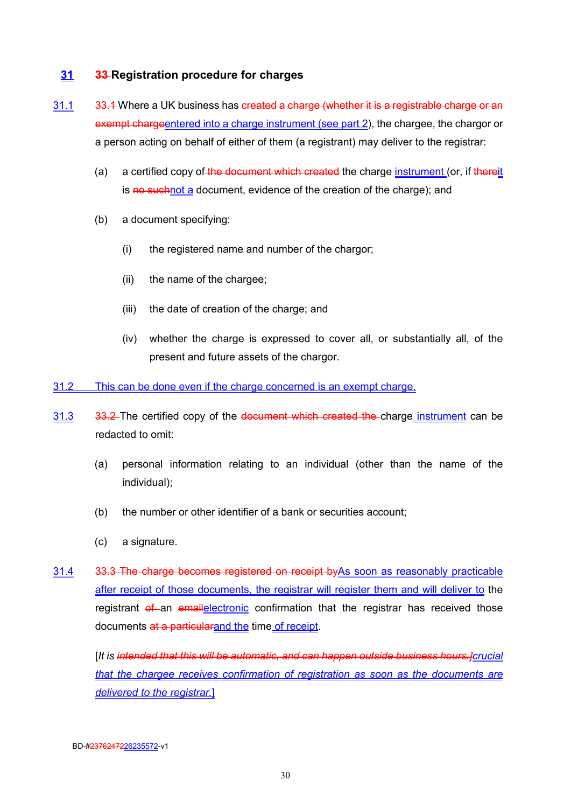# **31 33 Registration procedure for charges**

- 31.1 33.1 Where a UK business has created a charge (whether it is a registrable charge or an exempt chargeentered into a charge instrument (see part 2), the chargee, the chargor or a person acting on behalf of either of them (a registrant) may deliver to the registrar:
	- (a) a certified copy of the document which created the charge instrument (or, if thereit is no suchnot a document, evidence of the creation of the charge); and
	- (b) a document specifying:
		- (i) the registered name and number of the chargor;
		- (ii) the name of the chargee;
		- (iii) the date of creation of the charge; and
		- (iv) whether the charge is expressed to cover all, or substantially all, of the present and future assets of the chargor.

31.2 This can be done even if the charge concerned is an exempt charge.

- 31.3 33.2 The certified copy of the document which created the charge instrument can be redacted to omit:
	- (a) personal information relating to an individual (other than the name of the individual);
	- (b) the number or other identifier of a bank or securities account;
	- (c) a signature.
- 31.4 33.3 The charge becomes registered on receipt byAs soon as reasonably practicable after receipt of those documents, the registrar will register them and will deliver to the registrant of an emailelectronic confirmation that the registrar has received those documents at a particular and the time of receipt.

[*It is intended that this will be automatic, and can happen outside business hours.]crucial that the chargee receives confirmation of registration as soon as the documents are delivered to the registrar.*]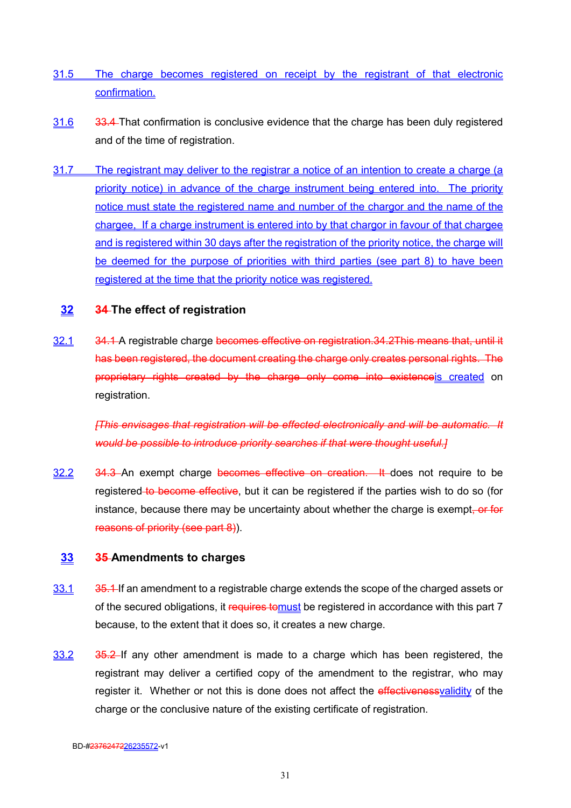- 31.5 The charge becomes registered on receipt by the registrant of that electronic confirmation.
- 31.6 33.4 That confirmation is conclusive evidence that the charge has been duly registered and of the time of registration.
- 31.7 The registrant may deliver to the registrar a notice of an intention to create a charge (a priority notice) in advance of the charge instrument being entered into. The priority notice must state the registered name and number of the chargor and the name of the chargee, If a charge instrument is entered into by that chargor in favour of that chargee and is registered within 30 days after the registration of the priority notice, the charge will be deemed for the purpose of priorities with third parties (see part 8) to have been registered at the time that the priority notice was registered.

# **32 34 The effect of registration**

32.1 34.1 A registrable charge becomes effective on registration.34.2 This means that, until it has been registered, the document creating the charge only creates personal rights. The proprietary rights created by the charge only come into existenceis created on registration.

*[This envisages that registration will be effected electronically and will be automatic. It would be possible to introduce priority searches if that were thought useful.]*

32.2 34.3 An exempt charge becomes effective on creation. It does not require to be registered to become effective, but it can be registered if the parties wish to do so (for instance, because there may be uncertainty about whether the charge is exempt–or for reasons of priority (see part 8)).

#### **33 35 Amendments to charges**

- $33.1$   $35.1$  If an amendment to a registrable charge extends the scope of the charged assets or of the secured obligations, it requires to must be registered in accordance with this part 7 because, to the extent that it does so, it creates a new charge.
- 33.2 35.2 If any other amendment is made to a charge which has been registered, the registrant may deliver a certified copy of the amendment to the registrar, who may register it. Whether or not this is done does not affect the effectiveness validity of the charge or the conclusive nature of the existing certificate of registration.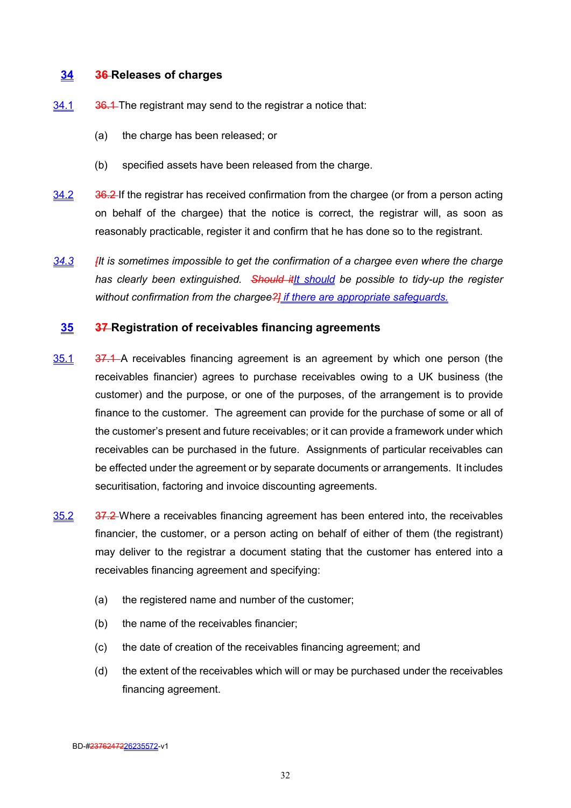# **34 36 Releases of charges**

- 34.1 36.4 The registrant may send to the registrar a notice that:
	- (a) the charge has been released; or
	- (b) specified assets have been released from the charge.
- 34.2 36.2 If the registrar has received confirmation from the chargee (or from a person acting on behalf of the chargee) that the notice is correct, the registrar will, as soon as reasonably practicable, register it and confirm that he has done so to the registrant.
- *34.3 [It is sometimes impossible to get the confirmation of a chargee even where the charge has clearly been extinguished. Should itIt should be possible to tidy-up the register without confirmation from the chargee?] if there are appropriate safeguards.*

#### **35 37 Registration of receivables financing agreements**

- 35.1 37.1 A receivables financing agreement is an agreement by which one person (the receivables financier) agrees to purchase receivables owing to a UK business (the customer) and the purpose, or one of the purposes, of the arrangement is to provide finance to the customer. The agreement can provide for the purchase of some or all of the customer's present and future receivables; or it can provide a framework under which receivables can be purchased in the future. Assignments of particular receivables can be effected under the agreement or by separate documents or arrangements. It includes securitisation, factoring and invoice discounting agreements.
- 35.2 37.2 Where a receivables financing agreement has been entered into, the receivables financier, the customer, or a person acting on behalf of either of them (the registrant) may deliver to the registrar a document stating that the customer has entered into a receivables financing agreement and specifying:
	- (a) the registered name and number of the customer;
	- (b) the name of the receivables financier;
	- (c) the date of creation of the receivables financing agreement; and
	- (d) the extent of the receivables which will or may be purchased under the receivables financing agreement.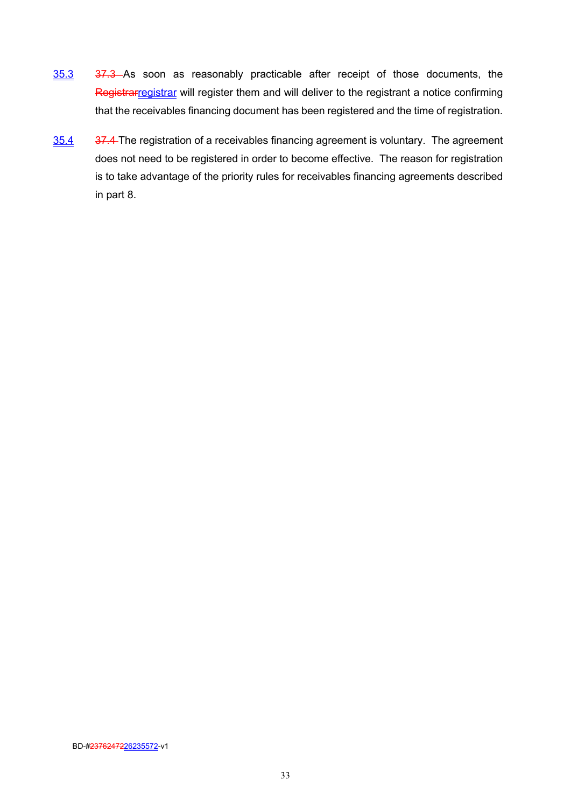- 35.3 37.3 As soon as reasonably practicable after receipt of those documents, the Registrarregistrar will register them and will deliver to the registrant a notice confirming that the receivables financing document has been registered and the time of registration.
- 35.4 37.4 The registration of a receivables financing agreement is voluntary. The agreement does not need to be registered in order to become effective. The reason for registration is to take advantage of the priority rules for receivables financing agreements described in part 8.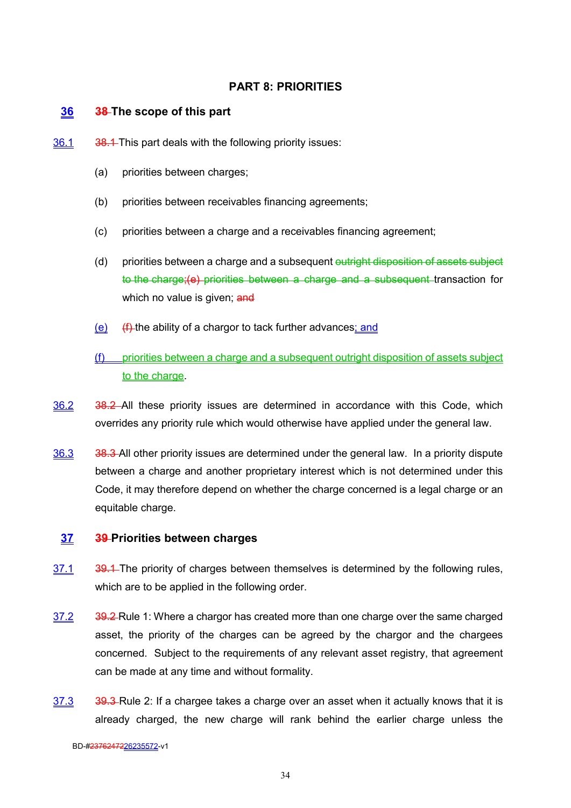# **PART 8: PRIORITIES**

### **36 38 The scope of this part**

- 36.1 38.1 This part deals with the following priority issues:
	- (a) priorities between charges;
	- (b) priorities between receivables financing agreements;
	- (c) priorities between a charge and a receivables financing agreement;
	- (d) priorities between a charge and a subsequent outright disposition of assets subject to the charge;(e) priorities between a charge and a subsequent transaction for which no value is given; and
	- $(e)$  (f) the ability of a chargor to tack further advances; and
	- (f) priorities between a charge and a subsequent outright disposition of assets subject to the charge.
- 36.2 38.2 All these priority issues are determined in accordance with this Code, which overrides any priority rule which would otherwise have applied under the general law.
- 36.3 38.3 All other priority issues are determined under the general law. In a priority dispute between a charge and another proprietary interest which is not determined under this Code, it may therefore depend on whether the charge concerned is a legal charge or an equitable charge.

# **37 39 Priorities between charges**

- 37.1 39.1 The priority of charges between themselves is determined by the following rules, which are to be applied in the following order.
- 37.2 39.2 Rule 1: Where a chargor has created more than one charge over the same charged asset, the priority of the charges can be agreed by the chargor and the chargees concerned. Subject to the requirements of any relevant asset registry, that agreement can be made at any time and without formality.
- $37.3$  39.3 Rule 2: If a chargee takes a charge over an asset when it actually knows that it is already charged, the new charge will rank behind the earlier charge unless the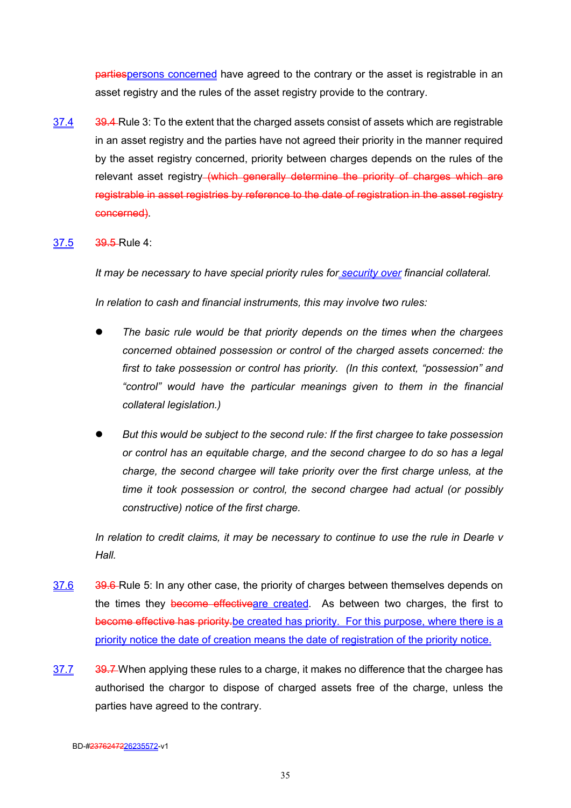partiespersons concerned have agreed to the contrary or the asset is registrable in an asset registry and the rules of the asset registry provide to the contrary.

37.4 39.4 Rule 3: To the extent that the charged assets consist of assets which are registrable in an asset registry and the parties have not agreed their priority in the manner required by the asset registry concerned, priority between charges depends on the rules of the relevant asset registry (which generally determine the priority of charges which are registrable in asset registries by reference to the date of registration in the asset registry concerned).

#### 37.5 39.5 Rule 4:

*It may be necessary to have special priority rules for security over financial collateral.*

*In relation to cash and financial instruments, this may involve two rules:*

- *The basic rule would be that priority depends on the times when the chargees concerned obtained possession or control of the charged assets concerned: the first to take possession or control has priority. (In this context, "possession" and "control" would have the particular meanings given to them in the financial collateral legislation.)*
- *But this would be subject to the second rule: If the first chargee to take possession or control has an equitable charge, and the second chargee to do so has a legal charge, the second chargee will take priority over the first charge unless, at the time it took possession or control, the second chargee had actual (or possibly constructive) notice of the first charge.*

*In relation to credit claims, it may be necessary to continue to use the rule in Dearle v Hall.*

- 37.6 39.6 Rule 5: In any other case, the priority of charges between themselves depends on the times they become effectiveare created. As between two charges, the first to become effective has priority-be created has priority. For this purpose, where there is a priority notice the date of creation means the date of registration of the priority notice.
- 37.7 39.7 When applying these rules to a charge, it makes no difference that the chargee has authorised the chargor to dispose of charged assets free of the charge, unless the parties have agreed to the contrary.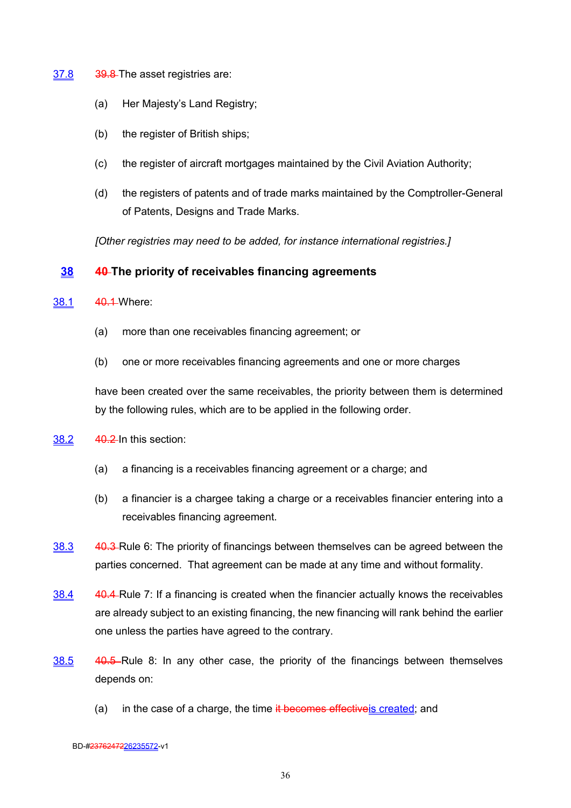- 37.8 39.8 The asset registries are:
	- (a) Her Majesty's Land Registry;
	- (b) the register of British ships;
	- (c) the register of aircraft mortgages maintained by the Civil Aviation Authority;
	- (d) the registers of patents and of trade marks maintained by the Comptroller-General of Patents, Designs and Trade Marks.

*[Other registries may need to be added, for instance international registries.]*

#### **38 40 The priority of receivables financing agreements**

- 38.1 40.1 Where:
	- (a) more than one receivables financing agreement; or
	- (b) one or more receivables financing agreements and one or more charges

have been created over the same receivables, the priority between them is determined by the following rules, which are to be applied in the following order.

- 38.2 40.2 In this section:
	- (a) a financing is a receivables financing agreement or a charge; and
	- (b) a financier is a chargee taking a charge or a receivables financier entering into a receivables financing agreement.
- 38.3 40.3 Rule 6: The priority of financings between themselves can be agreed between the parties concerned. That agreement can be made at any time and without formality.
- 38.4 40.4 Rule 7: If a financing is created when the financier actually knows the receivables are already subject to an existing financing, the new financing will rank behind the earlier one unless the parties have agreed to the contrary.
- 38.5 40.5 Rule 8: In any other case, the priority of the financings between themselves depends on:
	- (a) in the case of a charge, the time  $\frac{1}{k}$  becomes effective is created; and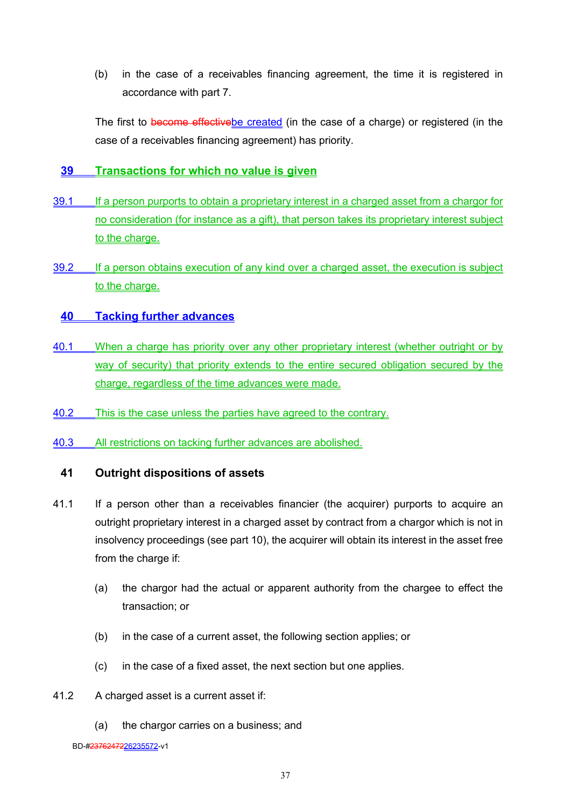(b) in the case of a receivables financing agreement, the time it is registered in accordance with part 7.

The first to become effectivebe created (in the case of a charge) or registered (in the case of a receivables financing agreement) has priority.

# **39 Transactions for which no value is given**

- 39.1 If a person purports to obtain a proprietary interest in a charged asset from a chargor for no consideration (for instance as a gift), that person takes its proprietary interest subject to the charge.
- 39.2 If a person obtains execution of any kind over a charged asset, the execution is subject to the charge.

# **40 Tacking further advances**

- 40.1 When a charge has priority over any other proprietary interest (whether outright or by way of security) that priority extends to the entire secured obligation secured by the charge, regardless of the time advances were made.
- 40.2 This is the case unless the parties have agreed to the contrary.
- 40.3 All restrictions on tacking further advances are abolished.

# **41 Outright dispositions of assets**

- 41.1 If a person other than a receivables financier (the acquirer) purports to acquire an outright proprietary interest in a charged asset by contract from a chargor which is not in insolvency proceedings (see part 10), the acquirer will obtain its interest in the asset free from the charge if:
	- (a) the chargor had the actual or apparent authority from the chargee to effect the transaction; or
	- (b) in the case of a current asset, the following section applies; or
	- (c) in the case of a fixed asset, the next section but one applies.
- 41.2 A charged asset is a current asset if:
	- (a) the chargor carries on a business; and

```
BD-#2376247226235572-v1
```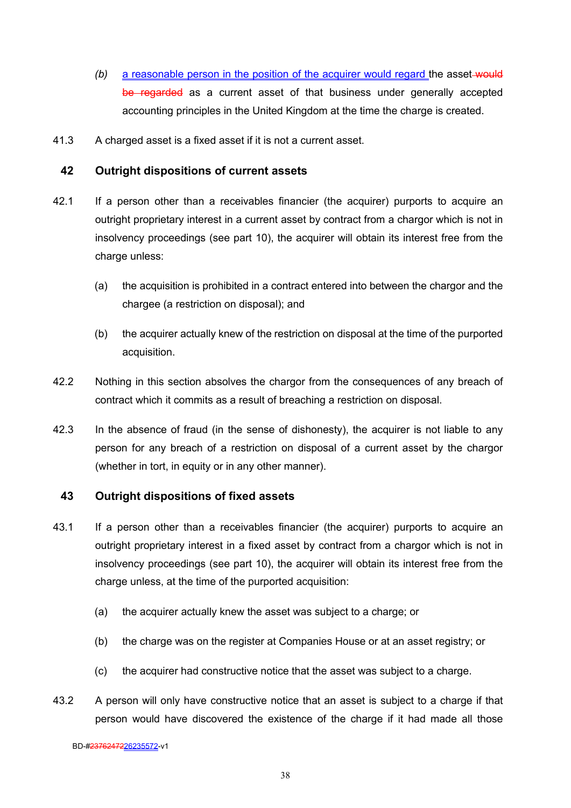- *(b)* a reasonable person in the position of the acquirer would regard the asset would be regarded as a current asset of that business under generally accepted accounting principles in the United Kingdom at the time the charge is created.
- 41.3 A charged asset is a fixed asset if it is not a current asset.

# **42 Outright dispositions of current assets**

- 42.1 If a person other than a receivables financier (the acquirer) purports to acquire an outright proprietary interest in a current asset by contract from a chargor which is not in insolvency proceedings (see part 10), the acquirer will obtain its interest free from the charge unless:
	- (a) the acquisition is prohibited in a contract entered into between the chargor and the chargee (a restriction on disposal); and
	- (b) the acquirer actually knew of the restriction on disposal at the time of the purported acquisition.
- 42.2 Nothing in this section absolves the chargor from the consequences of any breach of contract which it commits as a result of breaching a restriction on disposal.
- 42.3 In the absence of fraud (in the sense of dishonesty), the acquirer is not liable to any person for any breach of a restriction on disposal of a current asset by the chargor (whether in tort, in equity or in any other manner).

# **43 Outright dispositions of fixed assets**

- 43.1 If a person other than a receivables financier (the acquirer) purports to acquire an outright proprietary interest in a fixed asset by contract from a chargor which is not in insolvency proceedings (see part 10), the acquirer will obtain its interest free from the charge unless, at the time of the purported acquisition:
	- (a) the acquirer actually knew the asset was subject to a charge; or
	- (b) the charge was on the register at Companies House or at an asset registry; or
	- (c) the acquirer had constructive notice that the asset was subject to a charge.
- 43.2 A person will only have constructive notice that an asset is subject to a charge if that person would have discovered the existence of the charge if it had made all those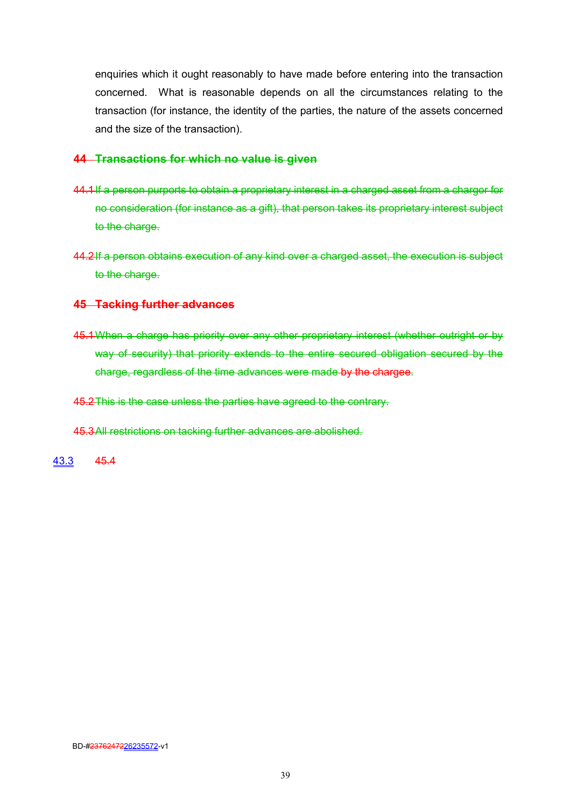enquiries which it ought reasonably to have made before entering into the transaction concerned. What is reasonable depends on all the circumstances relating to the transaction (for instance, the identity of the parties, the nature of the assets concerned and the size of the transaction).

#### **44 Transactions for which no value is given**

- 44.1If a person purports to obtain a proprietary interest in a charged asset from a chargor for no consideration (for instance as a gift), that person takes its proprietary interest subject to the charge.
- 44.2If a person obtains execution of any kind over a charged asset, the execution is subject to the charge.

#### **45 Tacking further advances**

- 45.1When a charge has priority over any other proprietary interest (whether outright or by way of security) that priority extends to the entire secured obligation secured by the charge, regardless of the time advances were made by the chargee.
- 45.2This is the case unless the parties have agreed to the contrary.
- 45.3All restrictions on tacking further advances are abolished.

43.3 45.4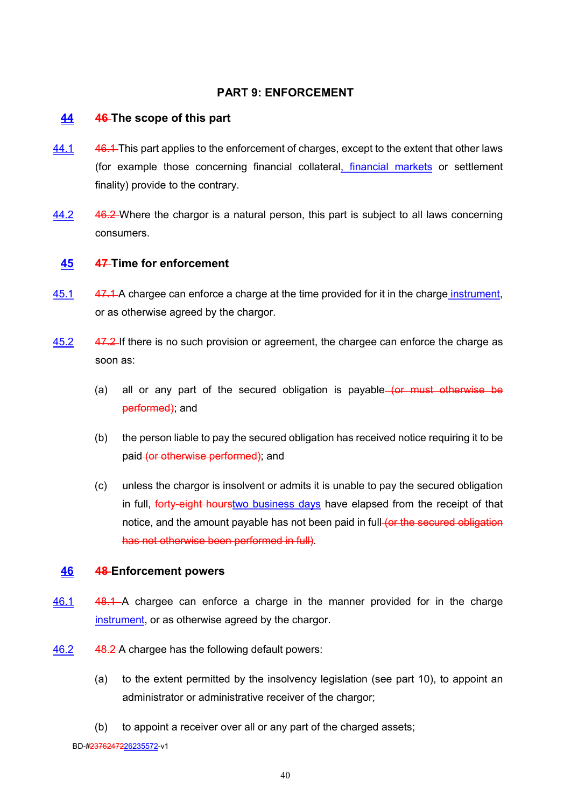### **PART 9: ENFORCEMENT**

#### **44 46 The scope of this part**

- 44.1 46.4 This part applies to the enforcement of charges, except to the extent that other laws (for example those concerning financial collateral, financial markets or settlement finality) provide to the contrary.
- 44.2 46.2 Where the chargor is a natural person, this part is subject to all laws concerning consumers.

#### **45 47 Time for enforcement**

- 45.1 47.1 A chargee can enforce a charge at the time provided for it in the charge instrument, or as otherwise agreed by the chargor.
- 45.2 47.2 If there is no such provision or agreement, the chargee can enforce the charge as soon as:
	- (a) all or any part of the secured obligation is payable (or must otherwise be performed); and
	- (b) the person liable to pay the secured obligation has received notice requiring it to be paid (or otherwise performed); and
	- (c) unless the chargor is insolvent or admits it is unable to pay the secured obligation in full, forty-eight hourstwo business days have elapsed from the receipt of that notice, and the amount payable has not been paid in full (or the secured obligation has not otherwise been performed in full).

#### **46 48 Enforcement powers**

- 46.1 48.1 A chargee can enforce a charge in the manner provided for in the charge instrument, or as otherwise agreed by the chargor.
- 46.2 48.2 A chargee has the following default powers:
	- (a) to the extent permitted by the insolvency legislation (see part 10), to appoint an administrator or administrative receiver of the chargor;
	- (b) to appoint a receiver over all or any part of the charged assets;

BD-#2376247226235572-v1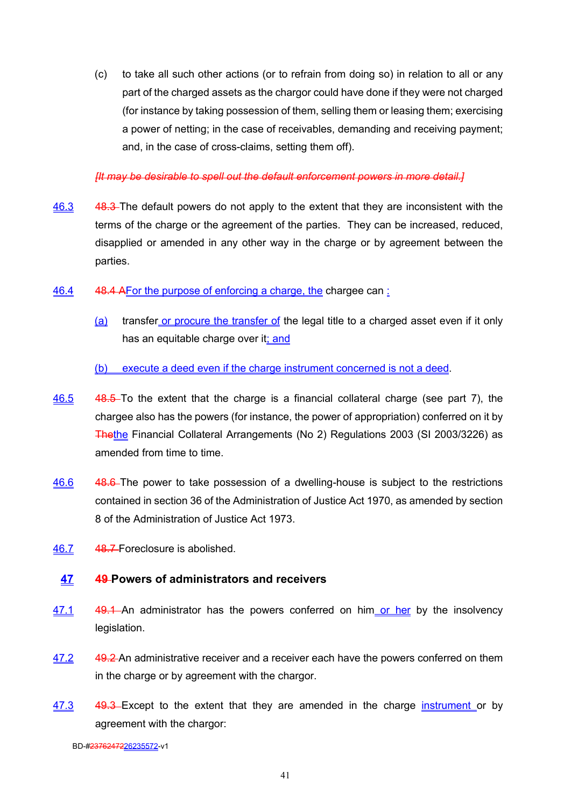(c) to take all such other actions (or to refrain from doing so) in relation to all or any part of the charged assets as the chargor could have done if they were not charged (for instance by taking possession of them, selling them or leasing them; exercising a power of netting; in the case of receivables, demanding and receiving payment; and, in the case of cross-claims, setting them off).

#### *[It may be desirable to spell out the default enforcement powers in more detail.]*

- 46.3 48.3 The default powers do not apply to the extent that they are inconsistent with the terms of the charge or the agreement of the parties. They can be increased, reduced, disapplied or amended in any other way in the charge or by agreement between the parties.
- 46.4 48.4 AFor the purpose of enforcing a charge, the chargee can:
	- (a) transfer or procure the transfer of the legal title to a charged asset even if it only has an equitable charge over it; and
	- (b) execute a deed even if the charge instrument concerned is not a deed.
- 46.5 48.5 To the extent that the charge is a financial collateral charge (see part 7), the chargee also has the powers (for instance, the power of appropriation) conferred on it by Thethe Financial Collateral Arrangements (No 2) Regulations 2003 (SI 2003/3226) as amended from time to time.
- 46.6 48.6 The power to take possession of a dwelling-house is subject to the restrictions contained in section 36 of the Administration of Justice Act 1970, as amended by section 8 of the Administration of Justice Act 1973.
- 46.7 48.7 Foreclosure is abolished.

# **47 49 Powers of administrators and receivers**

- 47.1 49.1 An administrator has the powers conferred on him or her by the insolvency legislation.
- 47.2 49.2 An administrative receiver and a receiver each have the powers conferred on them in the charge or by agreement with the chargor.
- 47.3 49.3 Except to the extent that they are amended in the charge instrument or by agreement with the chargor:

BD-#2376247226235572-v1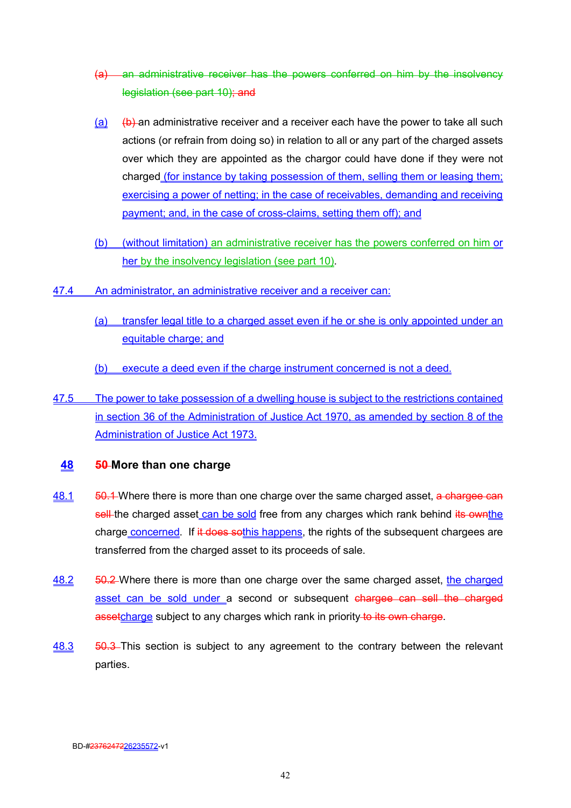- (a) an administrative receiver has the powers conferred on him by the insolvency legislation (see part 10); and
- (a)  $\left(\frac{b}{c}\right)$  an administrative receiver and a receiver each have the power to take all such actions (or refrain from doing so) in relation to all or any part of the charged assets over which they are appointed as the chargor could have done if they were not charged (for instance by taking possession of them, selling them or leasing them; exercising a power of netting; in the case of receivables, demanding and receiving payment; and, in the case of cross-claims, setting them off); and
- (b) (without limitation) an administrative receiver has the powers conferred on him or her by the insolvency legislation (see part 10).
- 47.4 An administrator, an administrative receiver and a receiver can:
	- (a) transfer legal title to a charged asset even if he or she is only appointed under an equitable charge; and
	- (b) execute a deed even if the charge instrument concerned is not a deed.
- 47.5 The power to take possession of a dwelling house is subject to the restrictions contained in section 36 of the Administration of Justice Act 1970, as amended by section 8 of the Administration of Justice Act 1973.

# **48 50 More than one charge**

- 48.1 50.1 Where there is more than one charge over the same charged asset, a chargee can sell the charged asset can be sold free from any charges which rank behind its ownthe charge concerned. If it does sothis happens, the rights of the subsequent chargees are transferred from the charged asset to its proceeds of sale.
- 48.2 50.2 Where there is more than one charge over the same charged asset, the charged asset can be sold under a second or subsequent chargee can sell the charged assetcharge subject to any charges which rank in priority to its own charge.
- 48.3 50.3 This section is subject to any agreement to the contrary between the relevant parties.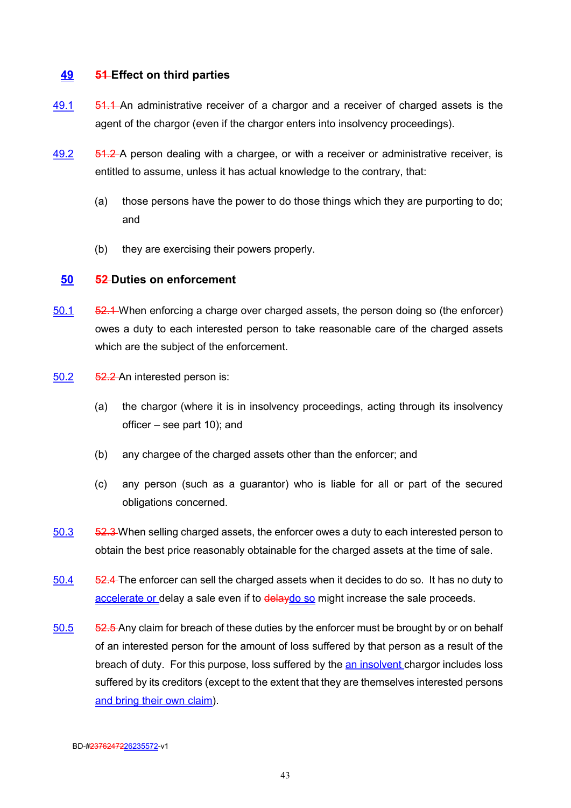#### **49 51 Effect on third parties**

- 49.1 51.1 An administrative receiver of a chargor and a receiver of charged assets is the agent of the chargor (even if the chargor enters into insolvency proceedings).
- $\frac{49.2}{49.2}$  51.2 A person dealing with a chargee, or with a receiver or administrative receiver, is entitled to assume, unless it has actual knowledge to the contrary, that:
	- (a) those persons have the power to do those things which they are purporting to do; and
	- (b) they are exercising their powers properly.

#### **50 52 Duties on enforcement**

- 50.1 52.1 When enforcing a charge over charged assets, the person doing so (the enforcer) owes a duty to each interested person to take reasonable care of the charged assets which are the subject of the enforcement.
- 50.2 52.2 An interested person is:
	- (a) the chargor (where it is in insolvency proceedings, acting through its insolvency officer – see part 10); and
	- (b) any chargee of the charged assets other than the enforcer; and
	- (c) any person (such as a guarantor) who is liable for all or part of the secured obligations concerned.
- 50.3 52.3 When selling charged assets, the enforcer owes a duty to each interested person to obtain the best price reasonably obtainable for the charged assets at the time of sale.
- 50.4 52.4 The enforcer can sell the charged assets when it decides to do so. It has no duty to accelerate or delay a sale even if to delaydo so might increase the sale proceeds.
- 50.5 52.5 Any claim for breach of these duties by the enforcer must be brought by or on behalf of an interested person for the amount of loss suffered by that person as a result of the breach of duty. For this purpose, loss suffered by the an insolvent chargor includes loss suffered by its creditors (except to the extent that they are themselves interested persons and bring their own claim).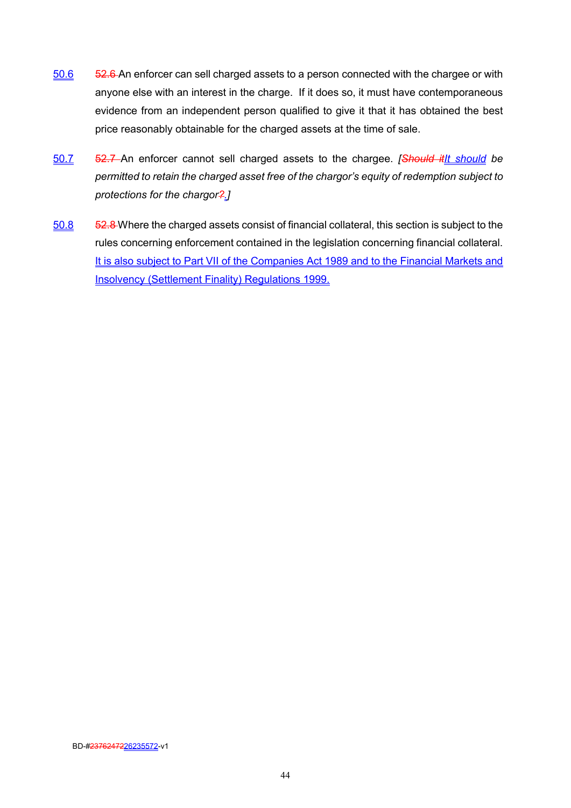- 50.6 52.6 An enforcer can sell charged assets to a person connected with the chargee or with anyone else with an interest in the charge. If it does so, it must have contemporaneous evidence from an independent person qualified to give it that it has obtained the best price reasonably obtainable for the charged assets at the time of sale.
- 50.7 52.7 An enforcer cannot sell charged assets to the chargee. *[Should itIt should be permitted to retain the charged asset free of the chargor's equity of redemption subject to protections for the chargor?.]*
- 50.8 52.8 Where the charged assets consist of financial collateral, this section is subject to the rules concerning enforcement contained in the legislation concerning financial collateral. It is also subject to Part VII of the Companies Act 1989 and to the Financial Markets and Insolvency (Settlement Finality) Regulations 1999.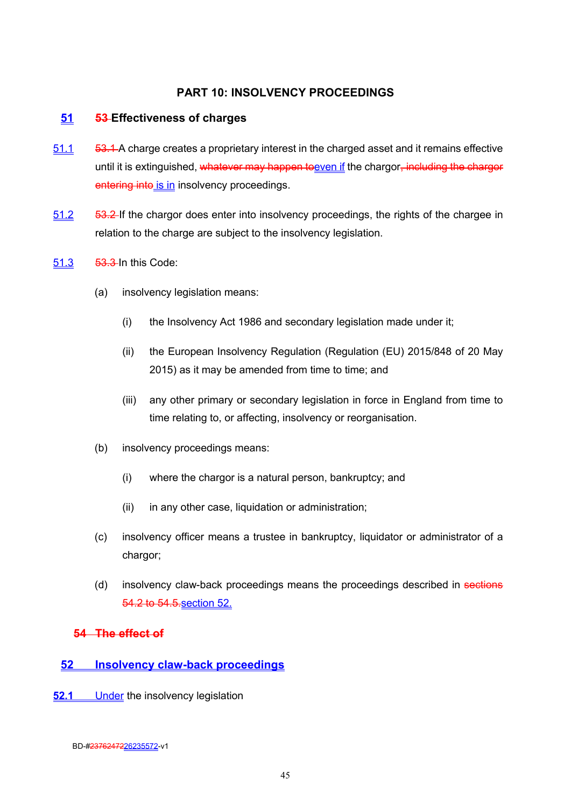# **PART 10: INSOLVENCY PROCEEDINGS**

#### **51 53 Effectiveness of charges**

- 51.1 53.1 A charge creates a proprietary interest in the charged asset and it remains effective until it is extinguished, whatever may happen to even if the chargor, including the chargor entering into is in insolvency proceedings.
- 51.2 53.2 If the chargor does enter into insolvency proceedings, the rights of the chargee in relation to the charge are subject to the insolvency legislation.
- 51.3 53.3 In this Code:
	- (a) insolvency legislation means:
		- (i) the Insolvency Act 1986 and secondary legislation made under it;
		- (ii) the European Insolvency Regulation (Regulation (EU) 2015/848 of 20 May 2015) as it may be amended from time to time; and
		- (iii) any other primary or secondary legislation in force in England from time to time relating to, or affecting, insolvency or reorganisation.
	- (b) insolvency proceedings means:
		- (i) where the chargor is a natural person, bankruptcy; and
		- (ii) in any other case, liquidation or administration;
	- (c) insolvency officer means a trustee in bankruptcy, liquidator or administrator of a chargor;
	- (d) insolvency claw-back proceedings means the proceedings described in sections 54.2 to 54.5.section 52.

# **54 The effect of**

- **52 Insolvency claw-back proceedings**
- **52.1** Under the insolvency legislation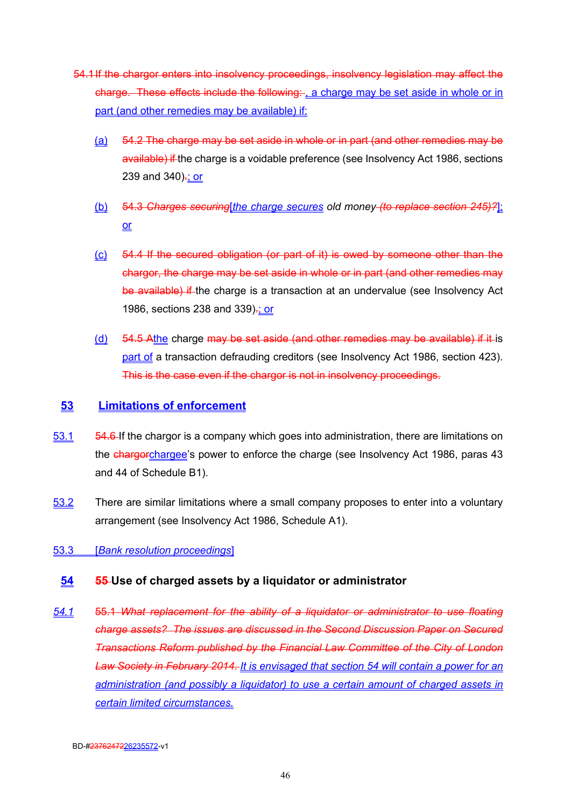- 54.1If the chargor enters into insolvency proceedings, insolvency legislation may affect the charge. These effects include the following: , a charge may be set aside in whole or in part (and other remedies may be available) if:
	- (a) 54.2 The charge may be set aside in whole or in part (and other remedies may be available) if the charge is a voidable preference (see Insolvency Act 1986, sections 239 and  $340$ .; or
	- (b) 54.3 *Charges securing*[*the charge secures old money (to replace section 245)?*]; or
	- (c) 54.4 If the secured obligation (or part of it) is owed by someone other than the chargor, the charge may be set aside in whole or in part (and other remedies may be available) if the charge is a transaction at an undervalue (see Insolvency Act 1986, sections 238 and 339)-; or
	- (d)  $54.5$  Athe charge may be set aside (and other remedies may be available) if it is part of a transaction defrauding creditors (see Insolvency Act 1986, section 423). This is the case even if the chargor is not in insolvency proceedings.

# **53 Limitations of enforcement**

- 53.1 54.6 If the chargor is a company which goes into administration, there are limitations on the chargorchargee's power to enforce the charge (see Insolvency Act 1986, paras 43 and 44 of Schedule B1).
- 53.2 There are similar limitations where a small company proposes to enter into a voluntary arrangement (see Insolvency Act 1986, Schedule A1).

# 53.3 [*Bank resolution proceedings*]

# **54 55 Use of charged assets by a liquidator or administrator**

*54.1* 55.1 *What replacement for the ability of a liquidator or administrator to use floating charge assets? The issues are discussed in the Second Discussion Paper on Secured Transactions Reform published by the Financial Law Committee of the City of London Law Society in February 2014*. *It is envisaged that section 54 will contain a power for an administration (and possibly a liquidator) to use a certain amount of charged assets in certain limited circumstances.*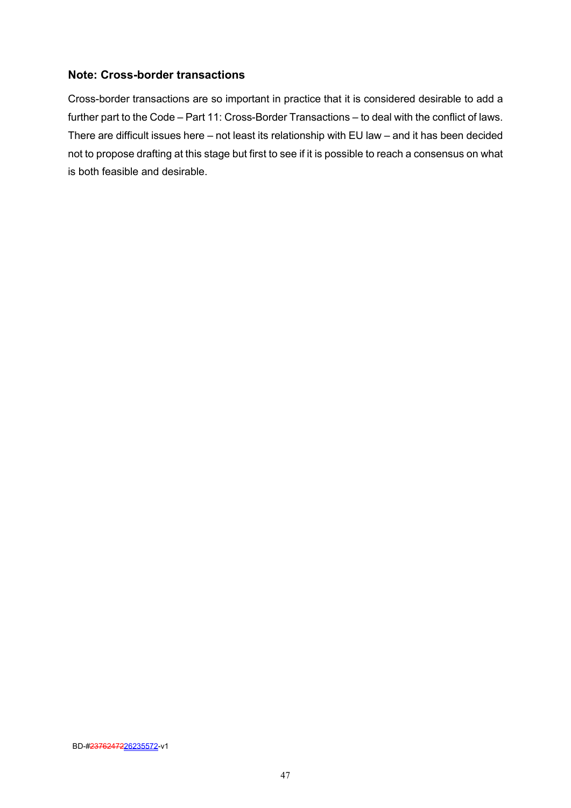# **Note: Cross-border transactions**

Cross-border transactions are so important in practice that it is considered desirable to add a further part to the Code – Part 11: Cross-Border Transactions – to deal with the conflict of laws. There are difficult issues here – not least its relationship with EU law – and it has been decided not to propose drafting at this stage but first to see if it is possible to reach a consensus on what is both feasible and desirable.